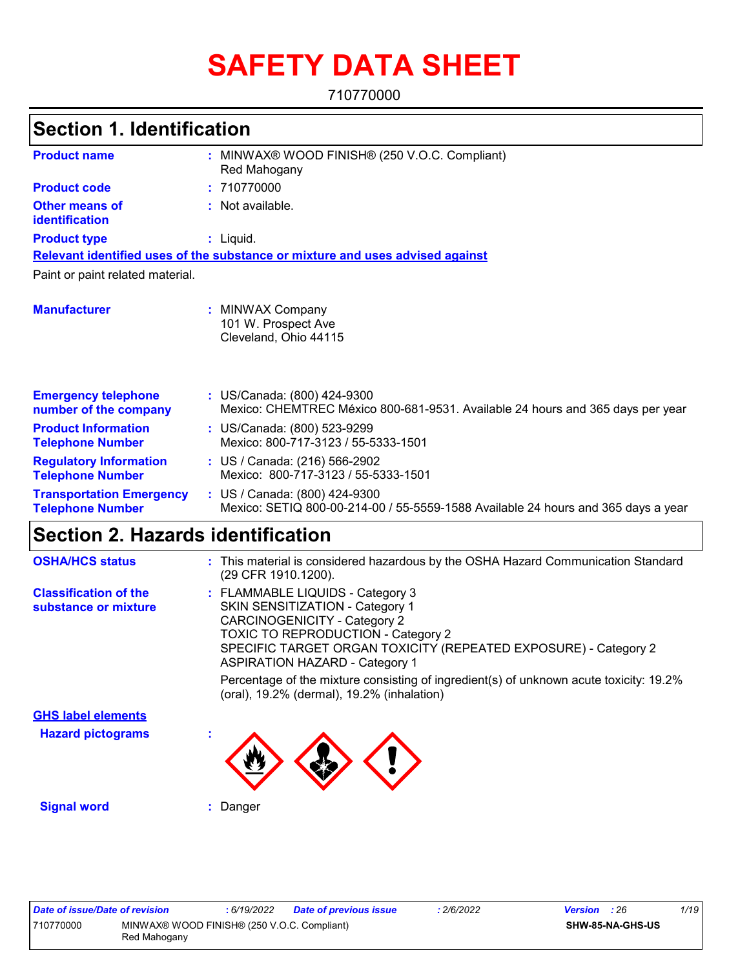# **SAFETY DATA SHEET**

710770000

## **Section 1. Identification**

| <b>Product name</b>                                        | : MINWAX® WOOD FINISH® (250 V.O.C. Compliant)<br>Red Mahogany                                                      |
|------------------------------------------------------------|--------------------------------------------------------------------------------------------------------------------|
| <b>Product code</b>                                        | : 710770000                                                                                                        |
| <b>Other means of</b><br>identification                    | : Not available.                                                                                                   |
| <b>Product type</b>                                        | $:$ Liquid.                                                                                                        |
|                                                            | Relevant identified uses of the substance or mixture and uses advised against                                      |
| Paint or paint related material.                           |                                                                                                                    |
| <b>Manufacturer</b>                                        | : MINWAX Company<br>101 W. Prospect Ave<br>Cleveland, Ohio 44115                                                   |
| <b>Emergency telephone</b><br>number of the company        | : US/Canada: (800) 424-9300<br>Mexico: CHEMTREC México 800-681-9531. Available 24 hours and 365 days per year      |
| <b>Product Information</b><br><b>Telephone Number</b>      | : US/Canada: (800) 523-9299<br>Mexico: 800-717-3123 / 55-5333-1501                                                 |
| <b>Regulatory Information</b><br><b>Telephone Number</b>   | : US / Canada: (216) 566-2902<br>Mexico: 800-717-3123 / 55-5333-1501                                               |
| <b>Transportation Emergency</b><br><b>Telephone Number</b> | : US / Canada: (800) 424-9300<br>Mexico: SETIQ 800-00-214-00 / 55-5559-1588 Available 24 hours and 365 days a year |

# **Section 2. Hazards identification**

| <b>OSHA/HCS status</b>                               | : This material is considered hazardous by the OSHA Hazard Communication Standard<br>(29 CFR 1910.1200).                                                                                                                                                                                                                                                             |
|------------------------------------------------------|----------------------------------------------------------------------------------------------------------------------------------------------------------------------------------------------------------------------------------------------------------------------------------------------------------------------------------------------------------------------|
| <b>Classification of the</b><br>substance or mixture | : FLAMMABLE LIQUIDS - Category 3<br><b>SKIN SENSITIZATION - Category 1</b><br><b>CARCINOGENICITY - Category 2</b><br><b>TOXIC TO REPRODUCTION - Category 2</b><br>SPECIFIC TARGET ORGAN TOXICITY (REPEATED EXPOSURE) - Category 2<br><b>ASPIRATION HAZARD - Category 1</b><br>Percentage of the mixture consisting of ingredient(s) of unknown acute toxicity: 19.2% |
| <b>GHS label elements</b>                            | (oral), 19.2% (dermal), 19.2% (inhalation)                                                                                                                                                                                                                                                                                                                           |
|                                                      |                                                                                                                                                                                                                                                                                                                                                                      |
| <b>Hazard pictograms</b>                             |                                                                                                                                                                                                                                                                                                                                                                      |
| <b>Signal word</b>                                   | Danger                                                                                                                                                                                                                                                                                                                                                               |

| Date of issue/Date of revision |                                                             | : 6/19/2022 | <b>Date of previous issue</b> | 2/6/2022 | <b>Version</b> : 26 |                  | 1/19 |
|--------------------------------|-------------------------------------------------------------|-------------|-------------------------------|----------|---------------------|------------------|------|
| 710770000                      | MINWAX® WOOD FINISH® (250 V.O.C. Compliant)<br>Red Mahogany |             |                               |          |                     | SHW-85-NA-GHS-US |      |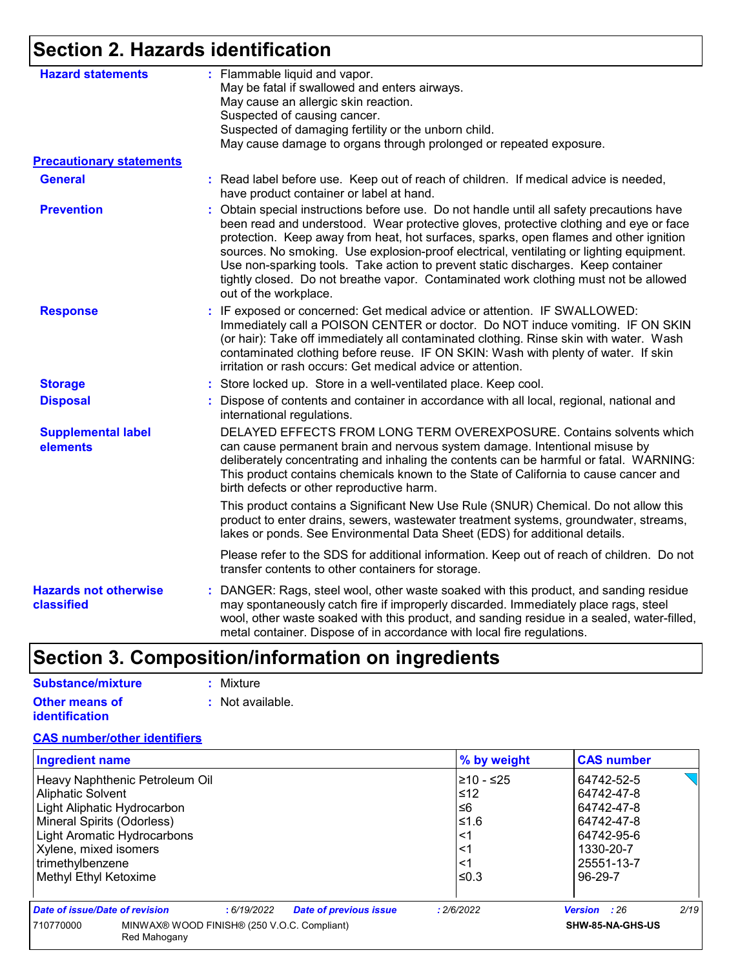## **Section 2. Hazards identification**

| <b>Hazard statements</b>                   | : Flammable liquid and vapor.<br>May be fatal if swallowed and enters airways.                                                                                                                                                                                                                                                                                                                                                                                                                                                                                                  |
|--------------------------------------------|---------------------------------------------------------------------------------------------------------------------------------------------------------------------------------------------------------------------------------------------------------------------------------------------------------------------------------------------------------------------------------------------------------------------------------------------------------------------------------------------------------------------------------------------------------------------------------|
|                                            | May cause an allergic skin reaction.                                                                                                                                                                                                                                                                                                                                                                                                                                                                                                                                            |
|                                            | Suspected of causing cancer.                                                                                                                                                                                                                                                                                                                                                                                                                                                                                                                                                    |
|                                            | Suspected of damaging fertility or the unborn child.                                                                                                                                                                                                                                                                                                                                                                                                                                                                                                                            |
|                                            | May cause damage to organs through prolonged or repeated exposure.                                                                                                                                                                                                                                                                                                                                                                                                                                                                                                              |
| <b>Precautionary statements</b>            |                                                                                                                                                                                                                                                                                                                                                                                                                                                                                                                                                                                 |
| <b>General</b>                             | : Read label before use. Keep out of reach of children. If medical advice is needed,<br>have product container or label at hand.                                                                                                                                                                                                                                                                                                                                                                                                                                                |
| <b>Prevention</b>                          | Obtain special instructions before use. Do not handle until all safety precautions have<br>÷.<br>been read and understood. Wear protective gloves, protective clothing and eye or face<br>protection. Keep away from heat, hot surfaces, sparks, open flames and other ignition<br>sources. No smoking. Use explosion-proof electrical, ventilating or lighting equipment.<br>Use non-sparking tools. Take action to prevent static discharges. Keep container<br>tightly closed. Do not breathe vapor. Contaminated work clothing must not be allowed<br>out of the workplace. |
| <b>Response</b>                            | : IF exposed or concerned: Get medical advice or attention. IF SWALLOWED:<br>Immediately call a POISON CENTER or doctor. Do NOT induce vomiting. IF ON SKIN<br>(or hair): Take off immediately all contaminated clothing. Rinse skin with water. Wash<br>contaminated clothing before reuse. IF ON SKIN: Wash with plenty of water. If skin<br>irritation or rash occurs: Get medical advice or attention.                                                                                                                                                                      |
| <b>Storage</b>                             | : Store locked up. Store in a well-ventilated place. Keep cool.                                                                                                                                                                                                                                                                                                                                                                                                                                                                                                                 |
| <b>Disposal</b>                            | : Dispose of contents and container in accordance with all local, regional, national and<br>international regulations.                                                                                                                                                                                                                                                                                                                                                                                                                                                          |
| <b>Supplemental label</b><br>elements      | DELAYED EFFECTS FROM LONG TERM OVEREXPOSURE. Contains solvents which<br>can cause permanent brain and nervous system damage. Intentional misuse by<br>deliberately concentrating and inhaling the contents can be harmful or fatal. WARNING:<br>This product contains chemicals known to the State of California to cause cancer and<br>birth defects or other reproductive harm.                                                                                                                                                                                               |
|                                            | This product contains a Significant New Use Rule (SNUR) Chemical. Do not allow this<br>product to enter drains, sewers, wastewater treatment systems, groundwater, streams,<br>lakes or ponds. See Environmental Data Sheet (EDS) for additional details.                                                                                                                                                                                                                                                                                                                       |
|                                            | Please refer to the SDS for additional information. Keep out of reach of children. Do not<br>transfer contents to other containers for storage.                                                                                                                                                                                                                                                                                                                                                                                                                                 |
| <b>Hazards not otherwise</b><br>classified | : DANGER: Rags, steel wool, other waste soaked with this product, and sanding residue<br>may spontaneously catch fire if improperly discarded. Immediately place rags, steel<br>wool, other waste soaked with this product, and sanding residue in a sealed, water-filled,<br>metal container. Dispose of in accordance with local fire regulations.                                                                                                                                                                                                                            |

## **Section 3. Composition/information on ingredients**

| Substance/mixture                              | : Mixture                   |
|------------------------------------------------|-----------------------------|
| <b>Other means of</b><br><i>identification</i> | $\therefore$ Not available. |

#### **CAS number/other identifiers**

| <b>Ingredient name</b>                               |                                                             |            |                               | % by weight | <b>CAS number</b>   |      |
|------------------------------------------------------|-------------------------------------------------------------|------------|-------------------------------|-------------|---------------------|------|
|                                                      | Heavy Naphthenic Petroleum Oil                              |            |                               | l≥10 - ≤25  | 64742-52-5          |      |
| Aliphatic Solvent                                    |                                                             |            |                               | ≤12         | 64742-47-8          |      |
| Light Aliphatic Hydrocarbon                          |                                                             |            |                               | ≤6          | 64742-47-8          |      |
| Mineral Spirits (Odorless)                           |                                                             |            |                               | ≤1.6        | 64742-47-8          |      |
| Light Aromatic Hydrocarbons<br>Xylene, mixed isomers |                                                             |            | <1                            | 64742-95-6  |                     |      |
|                                                      |                                                             |            | <1                            | 1330-20-7   |                     |      |
| trimethylbenzene                                     |                                                             |            |                               | <1          | 25551-13-7          |      |
| Methyl Ethyl Ketoxime                                |                                                             |            |                               | ≤0.3        | 96-29-7             |      |
| Date of issue/Date of revision                       |                                                             | :6/19/2022 | <b>Date of previous issue</b> | : 2/6/2022  | <b>Version</b> : 26 | 2/19 |
| 710770000                                            | MINWAX® WOOD FINISH® (250 V.O.C. Compliant)<br>Red Mahogany |            |                               |             | SHW-85-NA-GHS-US    |      |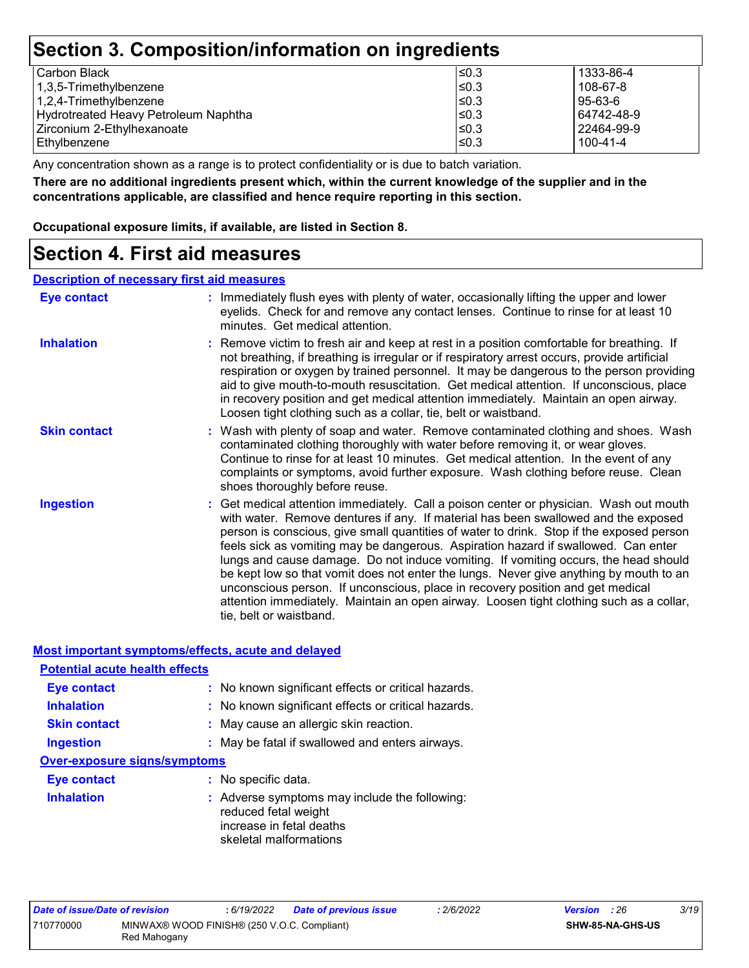## **Section 3. Composition/information on ingredients**

| l Carbon Black                       | I≤0.3      | 1333-86-4    |
|--------------------------------------|------------|--------------|
| 1,3,5-Trimethylbenzene               | $\leq 0.3$ | 108-67-8     |
| 1,2,4-Trimethylbenzene               | $\leq$ 0.3 | 95-63-6      |
| Hydrotreated Heavy Petroleum Naphtha | ≤0.3       | 64742-48-9   |
| Zirconium 2-Ethylhexanoate           | $\leq$ 0.3 | l 22464-99-9 |
| l Ethvlbenzene                       | $\leq 0.3$ | 100-41-4     |
|                                      |            |              |

Any concentration shown as a range is to protect confidentiality or is due to batch variation.

**There are no additional ingredients present which, within the current knowledge of the supplier and in the concentrations applicable, are classified and hence require reporting in this section.**

**Occupational exposure limits, if available, are listed in Section 8.**

### **Section 4. First aid measures**

#### **Description of necessary first aid measures**

| Eye contact         | : Immediately flush eyes with plenty of water, occasionally lifting the upper and lower<br>eyelids. Check for and remove any contact lenses. Continue to rinse for at least 10<br>minutes. Get medical attention.                                                                                                                                                                                                                                                                                                                                                                                                                                                                                                                                       |
|---------------------|---------------------------------------------------------------------------------------------------------------------------------------------------------------------------------------------------------------------------------------------------------------------------------------------------------------------------------------------------------------------------------------------------------------------------------------------------------------------------------------------------------------------------------------------------------------------------------------------------------------------------------------------------------------------------------------------------------------------------------------------------------|
| <b>Inhalation</b>   | : Remove victim to fresh air and keep at rest in a position comfortable for breathing. If<br>not breathing, if breathing is irregular or if respiratory arrest occurs, provide artificial<br>respiration or oxygen by trained personnel. It may be dangerous to the person providing<br>aid to give mouth-to-mouth resuscitation. Get medical attention. If unconscious, place<br>in recovery position and get medical attention immediately. Maintain an open airway.<br>Loosen tight clothing such as a collar, tie, belt or waistband.                                                                                                                                                                                                               |
| <b>Skin contact</b> | : Wash with plenty of soap and water. Remove contaminated clothing and shoes. Wash<br>contaminated clothing thoroughly with water before removing it, or wear gloves.<br>Continue to rinse for at least 10 minutes. Get medical attention. In the event of any<br>complaints or symptoms, avoid further exposure. Wash clothing before reuse. Clean<br>shoes thoroughly before reuse.                                                                                                                                                                                                                                                                                                                                                                   |
| <b>Ingestion</b>    | : Get medical attention immediately. Call a poison center or physician. Wash out mouth<br>with water. Remove dentures if any. If material has been swallowed and the exposed<br>person is conscious, give small quantities of water to drink. Stop if the exposed person<br>feels sick as vomiting may be dangerous. Aspiration hazard if swallowed. Can enter<br>lungs and cause damage. Do not induce vomiting. If vomiting occurs, the head should<br>be kept low so that vomit does not enter the lungs. Never give anything by mouth to an<br>unconscious person. If unconscious, place in recovery position and get medical<br>attention immediately. Maintain an open airway. Loosen tight clothing such as a collar,<br>tie, belt or waistband. |

#### **Most important symptoms/effects, acute and delayed**

| <b>Potential acute health effects</b> |                                                                                                                             |
|---------------------------------------|-----------------------------------------------------------------------------------------------------------------------------|
| <b>Eye contact</b>                    | : No known significant effects or critical hazards.                                                                         |
| <b>Inhalation</b>                     | : No known significant effects or critical hazards.                                                                         |
| <b>Skin contact</b>                   | : May cause an allergic skin reaction.                                                                                      |
| <b>Ingestion</b>                      | : May be fatal if swallowed and enters airways.                                                                             |
| <b>Over-exposure signs/symptoms</b>   |                                                                                                                             |
| Eye contact                           | : No specific data.                                                                                                         |
| <b>Inhalation</b>                     | : Adverse symptoms may include the following:<br>reduced fetal weight<br>increase in fetal deaths<br>skeletal malformations |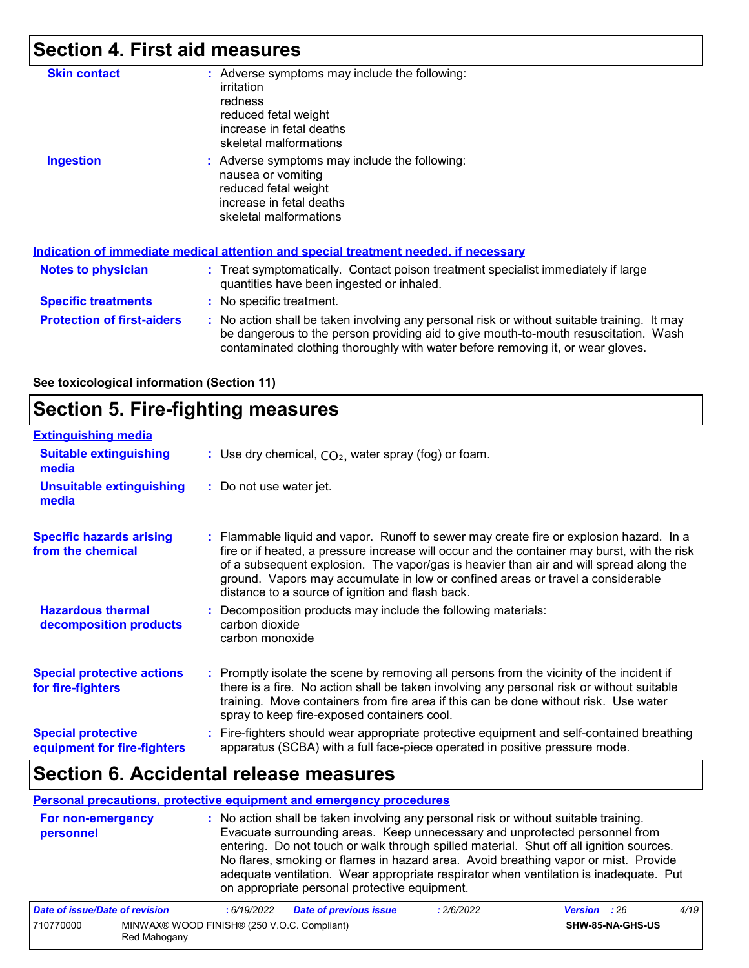## **Section 4. First aid measures**

| <b>Skin contact</b>               | : Adverse symptoms may include the following:<br>irritation<br>redness<br>reduced fetal weight<br>increase in fetal deaths<br>skeletal malformations                                                                                                                  |
|-----------------------------------|-----------------------------------------------------------------------------------------------------------------------------------------------------------------------------------------------------------------------------------------------------------------------|
| <b>Ingestion</b>                  | : Adverse symptoms may include the following:<br>nausea or vomiting<br>reduced fetal weight<br>increase in fetal deaths<br>skeletal malformations                                                                                                                     |
|                                   | Indication of immediate medical attention and special treatment needed, if necessary                                                                                                                                                                                  |
| Notes to physician                | : Treat symptomatically. Contact poison treatment specialist immediately if large<br>quantities have been ingested or inhaled.                                                                                                                                        |
| <b>Specific treatments</b>        | : No specific treatment.                                                                                                                                                                                                                                              |
| <b>Protection of first-aiders</b> | : No action shall be taken involving any personal risk or without suitable training. It may<br>be dangerous to the person providing aid to give mouth-to-mouth resuscitation. Wash<br>contaminated clothing thoroughly with water before removing it, or wear gloves. |

**See toxicological information (Section 11)**

### **Section 5. Fire-fighting measures**

| <b>Extinguishing media</b>                               |                                                                                                                                                                                                                                                                                                                                                                                                                          |
|----------------------------------------------------------|--------------------------------------------------------------------------------------------------------------------------------------------------------------------------------------------------------------------------------------------------------------------------------------------------------------------------------------------------------------------------------------------------------------------------|
| <b>Suitable extinguishing</b><br>media                   | : Use dry chemical, $CO2$ , water spray (fog) or foam.                                                                                                                                                                                                                                                                                                                                                                   |
| <b>Unsuitable extinguishing</b><br>media                 | : Do not use water jet.                                                                                                                                                                                                                                                                                                                                                                                                  |
| <b>Specific hazards arising</b><br>from the chemical     | : Flammable liquid and vapor. Runoff to sewer may create fire or explosion hazard. In a<br>fire or if heated, a pressure increase will occur and the container may burst, with the risk<br>of a subsequent explosion. The vapor/gas is heavier than air and will spread along the<br>ground. Vapors may accumulate in low or confined areas or travel a considerable<br>distance to a source of ignition and flash back. |
| <b>Hazardous thermal</b><br>decomposition products       | : Decomposition products may include the following materials:<br>carbon dioxide<br>carbon monoxide                                                                                                                                                                                                                                                                                                                       |
| <b>Special protective actions</b><br>for fire-fighters   | : Promptly isolate the scene by removing all persons from the vicinity of the incident if<br>there is a fire. No action shall be taken involving any personal risk or without suitable<br>training. Move containers from fire area if this can be done without risk. Use water<br>spray to keep fire-exposed containers cool.                                                                                            |
| <b>Special protective</b><br>equipment for fire-fighters | : Fire-fighters should wear appropriate protective equipment and self-contained breathing<br>apparatus (SCBA) with a full face-piece operated in positive pressure mode.                                                                                                                                                                                                                                                 |

### **Section 6. Accidental release measures**

710770000 MINWAX® WOOD FINISH® (250 V.O.C. Compliant)

Red Mahogany

#### **Personal precautions, protective equipment and emergency procedures**

| For non-emergency<br>personnel |             | : No action shall be taken involving any personal risk or without suitable training.<br>on appropriate personal protective equipment. |            | Evacuate surrounding areas. Keep unnecessary and unprotected personnel from<br>entering. Do not touch or walk through spilled material. Shut off all ignition sources.<br>No flares, smoking or flames in hazard area. Avoid breathing vapor or mist. Provide<br>adequate ventilation. Wear appropriate respirator when ventilation is inadequate. Put |      |
|--------------------------------|-------------|---------------------------------------------------------------------------------------------------------------------------------------|------------|--------------------------------------------------------------------------------------------------------------------------------------------------------------------------------------------------------------------------------------------------------------------------------------------------------------------------------------------------------|------|
| Date of issue/Date of revision | : 6/19/2022 | <b>Date of previous issue</b>                                                                                                         | : 2/6/2022 | <b>Version</b> : 26                                                                                                                                                                                                                                                                                                                                    | 4/19 |

**SHW-85-NA-GHS-US**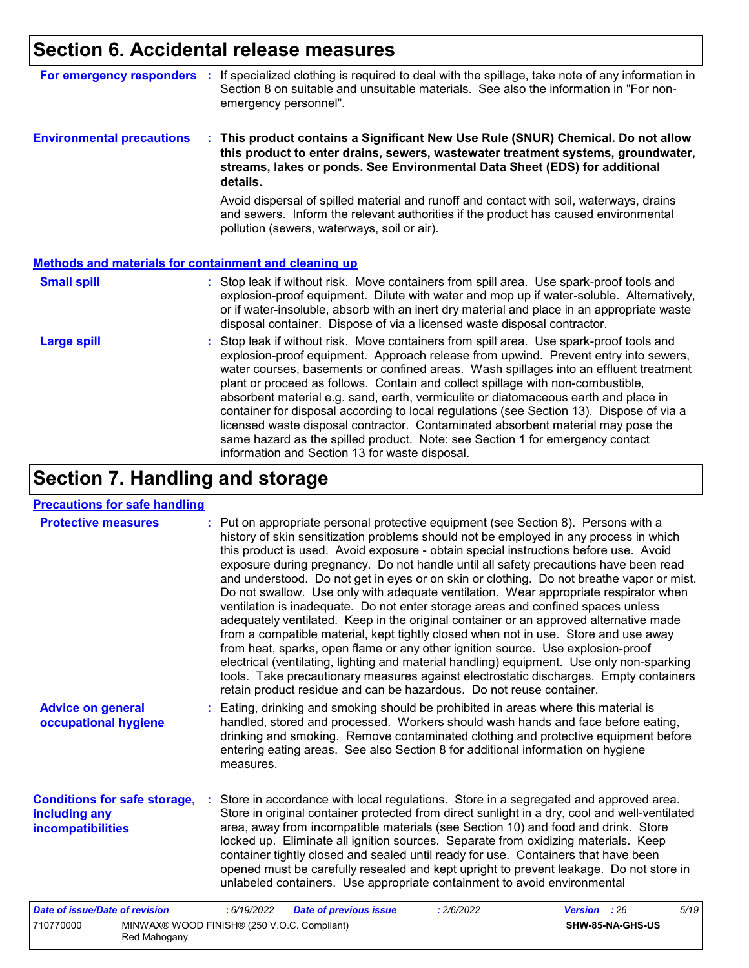## **Section 6. Accidental release measures**

| For emergency responders                                     | If specialized clothing is required to deal with the spillage, take note of any information in<br>Section 8 on suitable and unsuitable materials. See also the information in "For non-<br>emergency personnel".                                                                                                                                                                                                                                                                                                                                                                                                                                                                                                                                                   |
|--------------------------------------------------------------|--------------------------------------------------------------------------------------------------------------------------------------------------------------------------------------------------------------------------------------------------------------------------------------------------------------------------------------------------------------------------------------------------------------------------------------------------------------------------------------------------------------------------------------------------------------------------------------------------------------------------------------------------------------------------------------------------------------------------------------------------------------------|
| <b>Environmental precautions</b>                             | : This product contains a Significant New Use Rule (SNUR) Chemical. Do not allow<br>this product to enter drains, sewers, wastewater treatment systems, groundwater,<br>streams, lakes or ponds. See Environmental Data Sheet (EDS) for additional<br>details.                                                                                                                                                                                                                                                                                                                                                                                                                                                                                                     |
|                                                              | Avoid dispersal of spilled material and runoff and contact with soil, waterways, drains<br>and sewers. Inform the relevant authorities if the product has caused environmental<br>pollution (sewers, waterways, soil or air).                                                                                                                                                                                                                                                                                                                                                                                                                                                                                                                                      |
| <b>Methods and materials for containment and cleaning up</b> |                                                                                                                                                                                                                                                                                                                                                                                                                                                                                                                                                                                                                                                                                                                                                                    |
| <b>Small spill</b>                                           | : Stop leak if without risk. Move containers from spill area. Use spark-proof tools and<br>explosion-proof equipment. Dilute with water and mop up if water-soluble. Alternatively,<br>or if water-insoluble, absorb with an inert dry material and place in an appropriate waste<br>disposal container. Dispose of via a licensed waste disposal contractor.                                                                                                                                                                                                                                                                                                                                                                                                      |
| <b>Large spill</b>                                           | Stop leak if without risk. Move containers from spill area. Use spark-proof tools and<br>explosion-proof equipment. Approach release from upwind. Prevent entry into sewers,<br>water courses, basements or confined areas. Wash spillages into an effluent treatment<br>plant or proceed as follows. Contain and collect spillage with non-combustible,<br>absorbent material e.g. sand, earth, vermiculite or diatomaceous earth and place in<br>container for disposal according to local regulations (see Section 13). Dispose of via a<br>licensed waste disposal contractor. Contaminated absorbent material may pose the<br>same hazard as the spilled product. Note: see Section 1 for emergency contact<br>information and Section 13 for waste disposal. |

# **Section 7. Handling and storage**

| <b>Precautions for safe handling</b>                                      |                                                                                                                                                                                                                                                                                                                                                                                                                                                                                                                                                                                                                                                                                                                                                                                                                                                                                                                                                                                                                                                                                                                                                                      |
|---------------------------------------------------------------------------|----------------------------------------------------------------------------------------------------------------------------------------------------------------------------------------------------------------------------------------------------------------------------------------------------------------------------------------------------------------------------------------------------------------------------------------------------------------------------------------------------------------------------------------------------------------------------------------------------------------------------------------------------------------------------------------------------------------------------------------------------------------------------------------------------------------------------------------------------------------------------------------------------------------------------------------------------------------------------------------------------------------------------------------------------------------------------------------------------------------------------------------------------------------------|
| <b>Protective measures</b>                                                | : Put on appropriate personal protective equipment (see Section 8). Persons with a<br>history of skin sensitization problems should not be employed in any process in which<br>this product is used. Avoid exposure - obtain special instructions before use. Avoid<br>exposure during pregnancy. Do not handle until all safety precautions have been read<br>and understood. Do not get in eyes or on skin or clothing. Do not breathe vapor or mist.<br>Do not swallow. Use only with adequate ventilation. Wear appropriate respirator when<br>ventilation is inadequate. Do not enter storage areas and confined spaces unless<br>adequately ventilated. Keep in the original container or an approved alternative made<br>from a compatible material, kept tightly closed when not in use. Store and use away<br>from heat, sparks, open flame or any other ignition source. Use explosion-proof<br>electrical (ventilating, lighting and material handling) equipment. Use only non-sparking<br>tools. Take precautionary measures against electrostatic discharges. Empty containers<br>retain product residue and can be hazardous. Do not reuse container. |
| <b>Advice on general</b><br>occupational hygiene                          | Eating, drinking and smoking should be prohibited in areas where this material is<br>handled, stored and processed. Workers should wash hands and face before eating,<br>drinking and smoking. Remove contaminated clothing and protective equipment before<br>entering eating areas. See also Section 8 for additional information on hygiene<br>measures.                                                                                                                                                                                                                                                                                                                                                                                                                                                                                                                                                                                                                                                                                                                                                                                                          |
| <b>Conditions for safe storage,</b><br>including any<br>incompatibilities | Store in accordance with local regulations. Store in a segregated and approved area.<br>Store in original container protected from direct sunlight in a dry, cool and well-ventilated<br>area, away from incompatible materials (see Section 10) and food and drink. Store<br>locked up. Eliminate all ignition sources. Separate from oxidizing materials. Keep<br>container tightly closed and sealed until ready for use. Containers that have been<br>opened must be carefully resealed and kept upright to prevent leakage. Do not store in<br>unlabeled containers. Use appropriate containment to avoid environmental                                                                                                                                                                                                                                                                                                                                                                                                                                                                                                                                         |
| <b>Date of issue/Date of revision</b>                                     | <b>Date of previous issue</b><br>5/19<br>: 6/19/2022<br>: 2/6/2022<br>Version : 26                                                                                                                                                                                                                                                                                                                                                                                                                                                                                                                                                                                                                                                                                                                                                                                                                                                                                                                                                                                                                                                                                   |
| 710770000<br>Red Mahogany                                                 | MINWAX® WOOD FINISH® (250 V.O.C. Compliant)<br>SHW-85-NA-GHS-US                                                                                                                                                                                                                                                                                                                                                                                                                                                                                                                                                                                                                                                                                                                                                                                                                                                                                                                                                                                                                                                                                                      |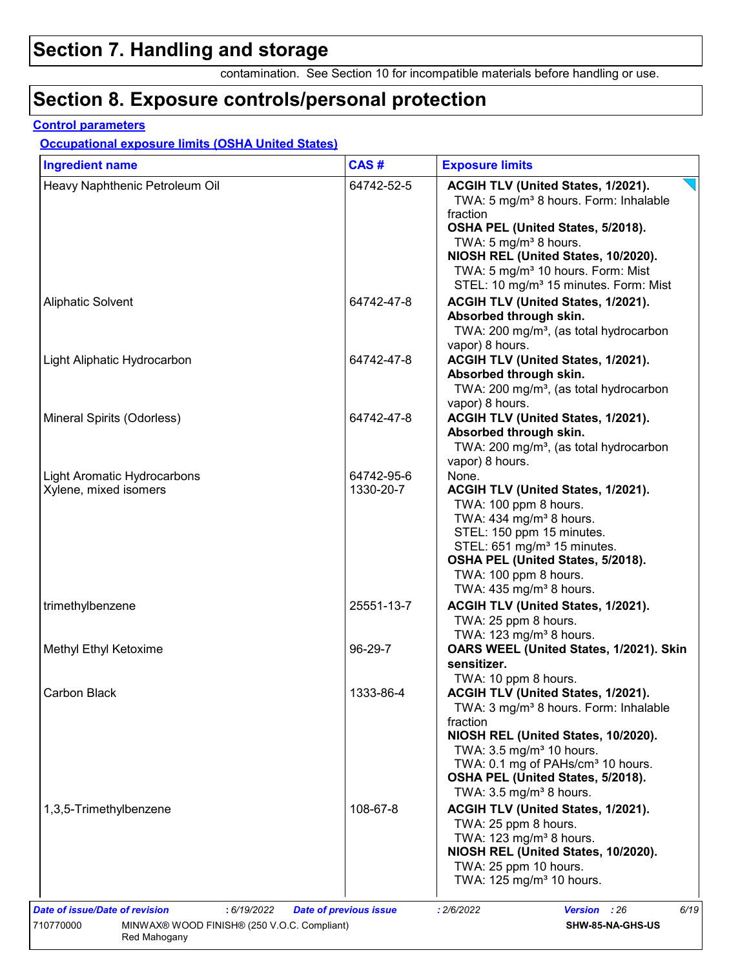## **Section 7. Handling and storage**

contamination. See Section 10 for incompatible materials before handling or use.

### **Section 8. Exposure controls/personal protection**

#### **Control parameters**

#### **Occupational exposure limits (OSHA United States)**

| <b>Ingredient name</b>                               | CAS#                    | <b>Exposure limits</b>                                                                                                                                                                                                                                                                                                     |
|------------------------------------------------------|-------------------------|----------------------------------------------------------------------------------------------------------------------------------------------------------------------------------------------------------------------------------------------------------------------------------------------------------------------------|
| Heavy Naphthenic Petroleum Oil                       | 64742-52-5              | ACGIH TLV (United States, 1/2021).<br>TWA: 5 mg/m <sup>3</sup> 8 hours. Form: Inhalable<br>fraction<br>OSHA PEL (United States, 5/2018).<br>TWA: 5 mg/m <sup>3</sup> 8 hours.<br>NIOSH REL (United States, 10/2020).<br>TWA: 5 mg/m <sup>3</sup> 10 hours. Form: Mist<br>STEL: 10 mg/m <sup>3</sup> 15 minutes. Form: Mist |
| <b>Aliphatic Solvent</b>                             | 64742-47-8              | ACGIH TLV (United States, 1/2021).<br>Absorbed through skin.<br>TWA: 200 mg/m <sup>3</sup> , (as total hydrocarbon<br>vapor) 8 hours.                                                                                                                                                                                      |
| Light Aliphatic Hydrocarbon                          | 64742-47-8              | ACGIH TLV (United States, 1/2021).<br>Absorbed through skin.<br>TWA: 200 mg/m <sup>3</sup> , (as total hydrocarbon<br>vapor) 8 hours.                                                                                                                                                                                      |
| Mineral Spirits (Odorless)                           | 64742-47-8              | ACGIH TLV (United States, 1/2021).<br>Absorbed through skin.<br>TWA: 200 mg/m <sup>3</sup> , (as total hydrocarbon<br>vapor) 8 hours.                                                                                                                                                                                      |
| Light Aromatic Hydrocarbons<br>Xylene, mixed isomers | 64742-95-6<br>1330-20-7 | None.<br>ACGIH TLV (United States, 1/2021).<br>TWA: 100 ppm 8 hours.<br>TWA: 434 mg/m <sup>3</sup> 8 hours.<br>STEL: 150 ppm 15 minutes.<br>STEL: 651 mg/m <sup>3</sup> 15 minutes.<br>OSHA PEL (United States, 5/2018).<br>TWA: 100 ppm 8 hours.<br>TWA: $435 \text{ mg/m}^3$ 8 hours.                                    |
| trimethylbenzene                                     | 25551-13-7              | ACGIH TLV (United States, 1/2021).<br>TWA: 25 ppm 8 hours.<br>TWA: 123 mg/m <sup>3</sup> 8 hours.                                                                                                                                                                                                                          |
| Methyl Ethyl Ketoxime                                | 96-29-7                 | OARS WEEL (United States, 1/2021). Skin<br>sensitizer.<br>TWA: 10 ppm 8 hours.                                                                                                                                                                                                                                             |
| Carbon Black                                         | 1333-86-4               | ACGIH TLV (United States, 1/2021).<br>TWA: 3 mg/m <sup>3</sup> 8 hours. Form: Inhalable<br>fraction<br>NIOSH REL (United States, 10/2020).<br>TWA: $3.5 \text{ mg/m}^3$ 10 hours.<br>TWA: 0.1 mg of PAHs/cm <sup>3</sup> 10 hours.<br>OSHA PEL (United States, 5/2018).<br>TWA: $3.5 \text{ mg/m}^3$ 8 hours.              |
| 1,3,5-Trimethylbenzene                               | 108-67-8                | ACGIH TLV (United States, 1/2021).<br>TWA: 25 ppm 8 hours.<br>TWA: 123 mg/m <sup>3</sup> 8 hours.<br>NIOSH REL (United States, 10/2020).<br>TWA: 25 ppm 10 hours.<br>TWA: 125 mg/m <sup>3</sup> 10 hours.                                                                                                                  |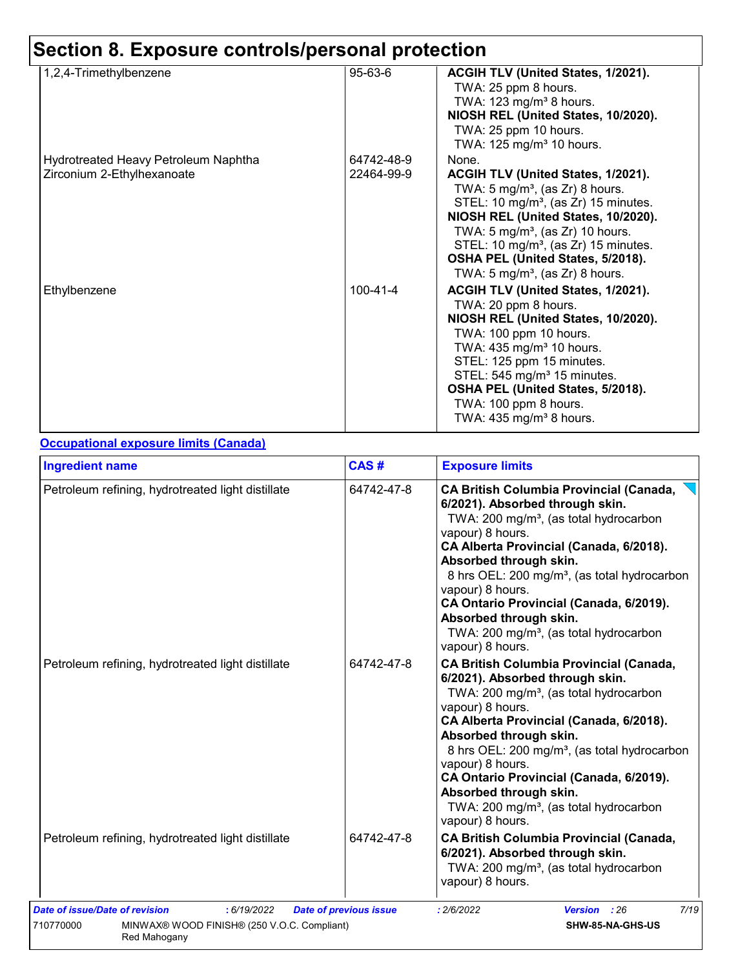| 1,2,4-Trimethylbenzene               | 95-63-6        | ACGIH TLV (United States, 1/2021).               |
|--------------------------------------|----------------|--------------------------------------------------|
|                                      |                | TWA: 25 ppm 8 hours.                             |
|                                      |                | TWA: 123 mg/m <sup>3</sup> 8 hours.              |
|                                      |                | NIOSH REL (United States, 10/2020).              |
|                                      |                | TWA: 25 ppm 10 hours.                            |
|                                      |                | TWA: 125 mg/m <sup>3</sup> 10 hours.             |
| Hydrotreated Heavy Petroleum Naphtha | 64742-48-9     | None.                                            |
| Zirconium 2-Ethylhexanoate           | 22464-99-9     | ACGIH TLV (United States, 1/2021).               |
|                                      |                | TWA: 5 mg/m <sup>3</sup> , (as Zr) 8 hours.      |
|                                      |                | STEL: 10 mg/m <sup>3</sup> , (as Zr) 15 minutes. |
|                                      |                | NIOSH REL (United States, 10/2020).              |
|                                      |                | TWA: $5 \text{ mg/m}^3$ , (as Zr) 10 hours.      |
|                                      |                | STEL: 10 mg/m <sup>3</sup> , (as Zr) 15 minutes. |
|                                      |                | OSHA PEL (United States, 5/2018).                |
|                                      |                | TWA: 5 mg/m <sup>3</sup> , (as Zr) 8 hours.      |
|                                      |                |                                                  |
| Ethylbenzene                         | $100 - 41 - 4$ | ACGIH TLV (United States, 1/2021).               |
|                                      |                | TWA: 20 ppm 8 hours.                             |
|                                      |                | NIOSH REL (United States, 10/2020).              |
|                                      |                | TWA: 100 ppm 10 hours.                           |
|                                      |                | TWA: $435 \text{ mg/m}^3$ 10 hours.              |
|                                      |                | STEL: 125 ppm 15 minutes.                        |
|                                      |                | STEL: 545 mg/m <sup>3</sup> 15 minutes.          |
|                                      |                | OSHA PEL (United States, 5/2018).                |
|                                      |                | TWA: 100 ppm 8 hours.                            |
|                                      |                | TWA: 435 mg/m <sup>3</sup> 8 hours.              |
|                                      |                |                                                  |

#### **Occupational exposure limits (Canada)**

| CAS#       | <b>Exposure limits</b>                                                                                                                                                                                                                                                                                                                                                                                                                                          |  |  |  |
|------------|-----------------------------------------------------------------------------------------------------------------------------------------------------------------------------------------------------------------------------------------------------------------------------------------------------------------------------------------------------------------------------------------------------------------------------------------------------------------|--|--|--|
| 64742-47-8 | <b>CA British Columbia Provincial (Canada,</b><br>6/2021). Absorbed through skin.<br>TWA: 200 mg/m <sup>3</sup> , (as total hydrocarbon<br>vapour) 8 hours.<br>CA Alberta Provincial (Canada, 6/2018).<br>Absorbed through skin.<br>8 hrs OEL: 200 mg/m <sup>3</sup> , (as total hydrocarbon<br>vapour) 8 hours.<br>CA Ontario Provincial (Canada, 6/2019).<br>Absorbed through skin.<br>TWA: 200 mg/m <sup>3</sup> , (as total hydrocarbon<br>vapour) 8 hours. |  |  |  |
| 64742-47-8 | <b>CA British Columbia Provincial (Canada,</b><br>6/2021). Absorbed through skin.<br>TWA: 200 mg/m <sup>3</sup> , (as total hydrocarbon<br>vapour) 8 hours.<br>CA Alberta Provincial (Canada, 6/2018).<br>Absorbed through skin.<br>8 hrs OEL: 200 mg/m <sup>3</sup> , (as total hydrocarbon<br>vapour) 8 hours.<br>CA Ontario Provincial (Canada, 6/2019).<br>Absorbed through skin.<br>TWA: 200 mg/m <sup>3</sup> , (as total hydrocarbon<br>vapour) 8 hours. |  |  |  |
| 64742-47-8 | <b>CA British Columbia Provincial (Canada,</b><br>6/2021). Absorbed through skin.<br>TWA: 200 mg/m <sup>3</sup> , (as total hydrocarbon                                                                                                                                                                                                                                                                                                                         |  |  |  |
|            |                                                                                                                                                                                                                                                                                                                                                                                                                                                                 |  |  |  |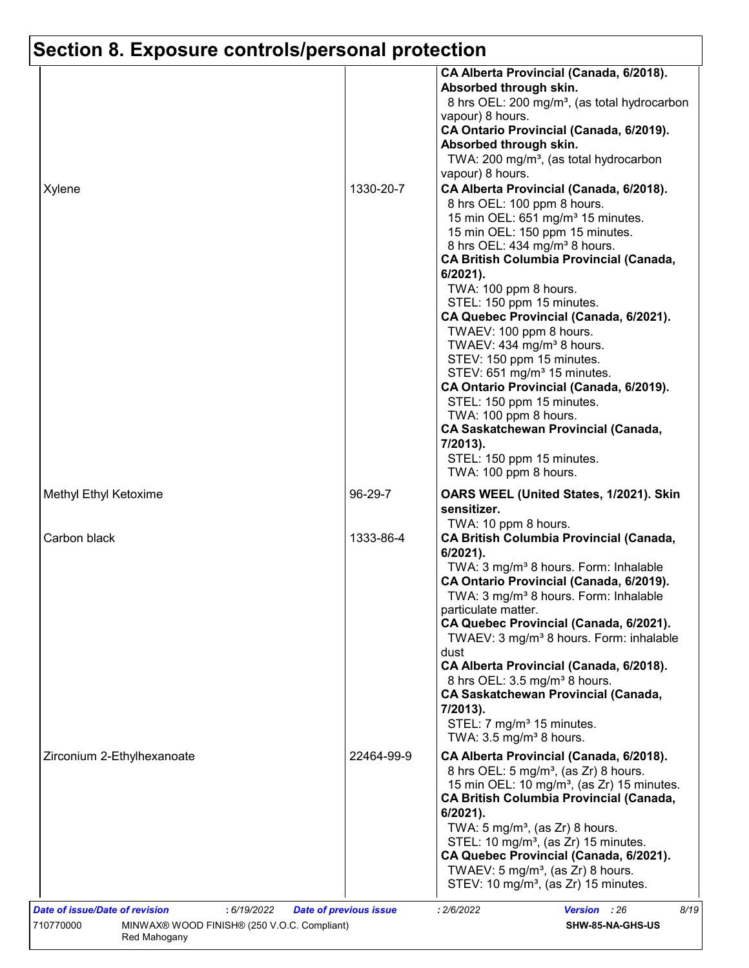|                            |            | CA Alberta Provincial (Canada, 6/2018).<br>Absorbed through skin.<br>8 hrs OEL: 200 mg/m <sup>3</sup> , (as total hydrocarbon<br>vapour) 8 hours.<br>CA Ontario Provincial (Canada, 6/2019).<br>Absorbed through skin.<br>TWA: 200 mg/m <sup>3</sup> , (as total hydrocarbon<br>vapour) 8 hours.                                                                                                                                                                                                                                                                                                                                                                                                                                      |
|----------------------------|------------|---------------------------------------------------------------------------------------------------------------------------------------------------------------------------------------------------------------------------------------------------------------------------------------------------------------------------------------------------------------------------------------------------------------------------------------------------------------------------------------------------------------------------------------------------------------------------------------------------------------------------------------------------------------------------------------------------------------------------------------|
| Xylene                     | 1330-20-7  | CA Alberta Provincial (Canada, 6/2018).<br>8 hrs OEL: 100 ppm 8 hours.<br>15 min OEL: 651 mg/m <sup>3</sup> 15 minutes.<br>15 min OEL: 150 ppm 15 minutes.<br>8 hrs OEL: 434 mg/m <sup>3</sup> 8 hours.<br><b>CA British Columbia Provincial (Canada,</b><br>$6/2021$ ).<br>TWA: 100 ppm 8 hours.<br>STEL: 150 ppm 15 minutes.<br>CA Quebec Provincial (Canada, 6/2021).<br>TWAEV: 100 ppm 8 hours.<br>TWAEV: 434 mg/m <sup>3</sup> 8 hours.<br>STEV: 150 ppm 15 minutes.<br>STEV: 651 mg/m <sup>3</sup> 15 minutes.<br>CA Ontario Provincial (Canada, 6/2019).<br>STEL: 150 ppm 15 minutes.<br>TWA: 100 ppm 8 hours.<br><b>CA Saskatchewan Provincial (Canada,</b><br>7/2013).<br>STEL: 150 ppm 15 minutes.<br>TWA: 100 ppm 8 hours. |
| Methyl Ethyl Ketoxime      | 96-29-7    | OARS WEEL (United States, 1/2021). Skin<br>sensitizer.                                                                                                                                                                                                                                                                                                                                                                                                                                                                                                                                                                                                                                                                                |
| Carbon black               | 1333-86-4  | TWA: 10 ppm 8 hours.<br><b>CA British Columbia Provincial (Canada,</b><br>$6/2021$ ).<br>TWA: 3 mg/m <sup>3</sup> 8 hours. Form: Inhalable<br>CA Ontario Provincial (Canada, 6/2019).<br>TWA: 3 mg/m <sup>3</sup> 8 hours. Form: Inhalable<br>particulate matter.<br>CA Quebec Provincial (Canada, 6/2021).<br>TWAEV: 3 mg/m <sup>3</sup> 8 hours. Form: inhalable<br>dust<br>CA Alberta Provincial (Canada, 6/2018).<br>8 hrs OEL: 3.5 mg/m <sup>3</sup> 8 hours.<br><b>CA Saskatchewan Provincial (Canada,</b><br>7/2013).<br>STEL: 7 mg/m <sup>3</sup> 15 minutes.<br>TWA: $3.5 \text{ mg/m}^3$ 8 hours.                                                                                                                           |
| Zirconium 2-Ethylhexanoate | 22464-99-9 | CA Alberta Provincial (Canada, 6/2018).<br>8 hrs OEL: 5 mg/m <sup>3</sup> , (as Zr) 8 hours.<br>15 min OEL: 10 mg/m <sup>3</sup> , (as Zr) 15 minutes.<br><b>CA British Columbia Provincial (Canada,</b><br>$6/2021$ ).<br>TWA: $5 \text{ mg/m}^3$ , (as Zr) 8 hours.<br>STEL: 10 mg/m <sup>3</sup> , (as Zr) 15 minutes.<br>CA Quebec Provincial (Canada, 6/2021).<br>TWAEV: 5 mg/m <sup>3</sup> , (as $Zr$ ) 8 hours.<br>STEV: 10 mg/m <sup>3</sup> , (as Zr) 15 minutes.                                                                                                                                                                                                                                                           |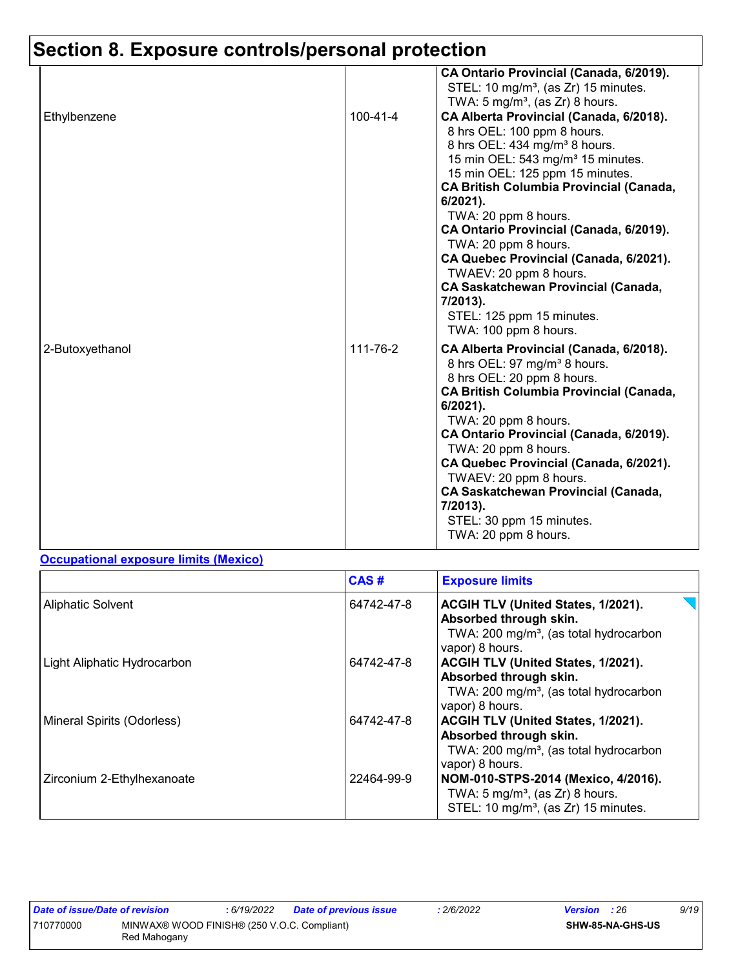| Ethylbenzene    | 100-41-4 | CA Ontario Provincial (Canada, 6/2019).<br>STEL: 10 mg/m <sup>3</sup> , (as Zr) 15 minutes.<br>TWA: $5 \text{ mg/m}^3$ , (as Zr) 8 hours.<br>CA Alberta Provincial (Canada, 6/2018).<br>8 hrs OEL: 100 ppm 8 hours.<br>8 hrs OEL: 434 mg/m <sup>3</sup> 8 hours.<br>15 min OEL: 543 mg/m <sup>3</sup> 15 minutes.<br>15 min OEL: 125 ppm 15 minutes.                                                                                                         |
|-----------------|----------|--------------------------------------------------------------------------------------------------------------------------------------------------------------------------------------------------------------------------------------------------------------------------------------------------------------------------------------------------------------------------------------------------------------------------------------------------------------|
|                 |          | <b>CA British Columbia Provincial (Canada,</b><br>6/2021).<br>TWA: 20 ppm 8 hours.<br>CA Ontario Provincial (Canada, 6/2019).<br>TWA: 20 ppm 8 hours.<br>CA Quebec Provincial (Canada, 6/2021).<br>TWAEV: 20 ppm 8 hours.<br><b>CA Saskatchewan Provincial (Canada,</b><br>7/2013).<br>STEL: 125 ppm 15 minutes.<br>TWA: 100 ppm 8 hours.                                                                                                                    |
| 2-Butoxyethanol | 111-76-2 | CA Alberta Provincial (Canada, 6/2018).<br>8 hrs OEL: 97 mg/m <sup>3</sup> 8 hours.<br>8 hrs OEL: 20 ppm 8 hours.<br><b>CA British Columbia Provincial (Canada,</b><br>6/2021).<br>TWA: 20 ppm 8 hours.<br>CA Ontario Provincial (Canada, 6/2019).<br>TWA: 20 ppm 8 hours.<br>CA Quebec Provincial (Canada, 6/2021).<br>TWAEV: 20 ppm 8 hours.<br><b>CA Saskatchewan Provincial (Canada,</b><br>7/2013).<br>STEL: 30 ppm 15 minutes.<br>TWA: 20 ppm 8 hours. |

#### **Occupational exposure limits (Mexico)**

|                             | CAS#       | <b>Exposure limits</b>                                                                                                                |
|-----------------------------|------------|---------------------------------------------------------------------------------------------------------------------------------------|
| <b>Aliphatic Solvent</b>    | 64742-47-8 | ACGIH TLV (United States, 1/2021).<br>Absorbed through skin.<br>TWA: 200 mg/m <sup>3</sup> , (as total hydrocarbon<br>vapor) 8 hours. |
| Light Aliphatic Hydrocarbon | 64742-47-8 | ACGIH TLV (United States, 1/2021).<br>Absorbed through skin.<br>TWA: 200 mg/m <sup>3</sup> , (as total hydrocarbon<br>vapor) 8 hours. |
| Mineral Spirits (Odorless)  | 64742-47-8 | ACGIH TLV (United States, 1/2021).<br>Absorbed through skin.<br>TWA: 200 mg/m <sup>3</sup> , (as total hydrocarbon<br>vapor) 8 hours. |
| Zirconium 2-Ethylhexanoate  | 22464-99-9 | NOM-010-STPS-2014 (Mexico, 4/2016).<br>TWA: $5 \text{ mg/m}^3$ , (as Zr) 8 hours.<br>STEL: 10 mg/m <sup>3</sup> , (as Zr) 15 minutes. |

| Date of issue/Date of revision |                                                             | 6/19/2022 | Date of previous issue | 2/6/2022 | <b>Version</b> : 26 |                  | 9/19 |
|--------------------------------|-------------------------------------------------------------|-----------|------------------------|----------|---------------------|------------------|------|
| 710770000                      | MINWAX® WOOD FINISH® (250 V.O.C. Compliant)<br>Red Mahogany |           |                        |          |                     | SHW-85-NA-GHS-US |      |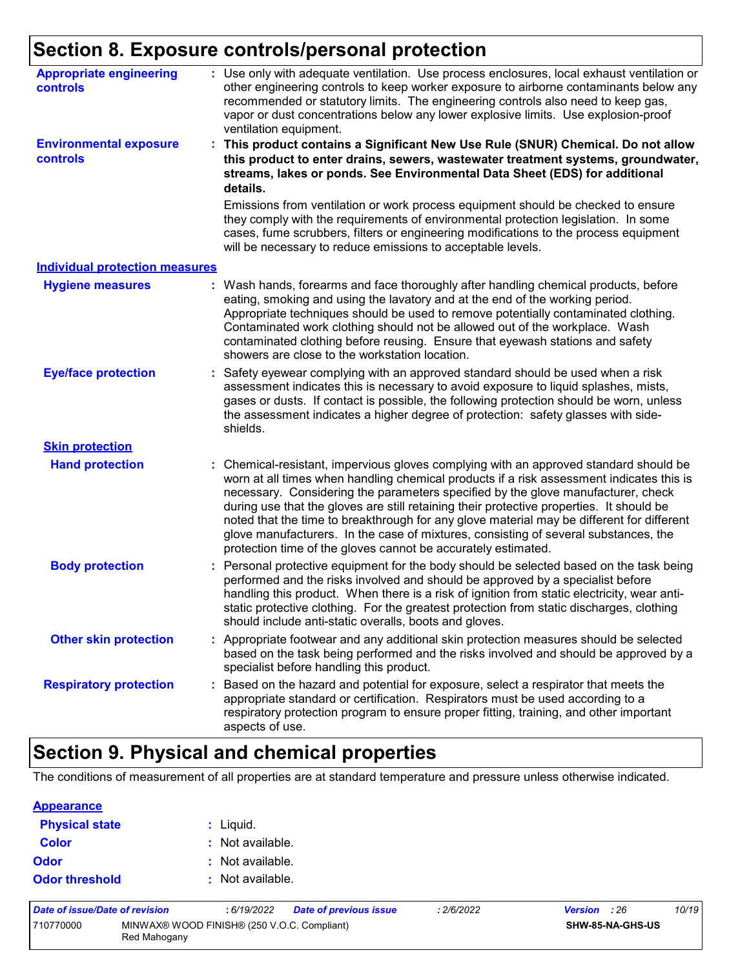| <b>Appropriate engineering</b><br><b>controls</b> | : Use only with adequate ventilation. Use process enclosures, local exhaust ventilation or<br>other engineering controls to keep worker exposure to airborne contaminants below any<br>recommended or statutory limits. The engineering controls also need to keep gas,<br>vapor or dust concentrations below any lower explosive limits. Use explosion-proof<br>ventilation equipment.                                                                                                                                                                                                                                |
|---------------------------------------------------|------------------------------------------------------------------------------------------------------------------------------------------------------------------------------------------------------------------------------------------------------------------------------------------------------------------------------------------------------------------------------------------------------------------------------------------------------------------------------------------------------------------------------------------------------------------------------------------------------------------------|
| <b>Environmental exposure</b><br>controls         | This product contains a Significant New Use Rule (SNUR) Chemical. Do not allow<br>this product to enter drains, sewers, wastewater treatment systems, groundwater,<br>streams, lakes or ponds. See Environmental Data Sheet (EDS) for additional<br>details.                                                                                                                                                                                                                                                                                                                                                           |
|                                                   | Emissions from ventilation or work process equipment should be checked to ensure<br>they comply with the requirements of environmental protection legislation. In some<br>cases, fume scrubbers, filters or engineering modifications to the process equipment<br>will be necessary to reduce emissions to acceptable levels.                                                                                                                                                                                                                                                                                          |
| <b>Individual protection measures</b>             |                                                                                                                                                                                                                                                                                                                                                                                                                                                                                                                                                                                                                        |
| <b>Hygiene measures</b>                           | : Wash hands, forearms and face thoroughly after handling chemical products, before<br>eating, smoking and using the lavatory and at the end of the working period.<br>Appropriate techniques should be used to remove potentially contaminated clothing.<br>Contaminated work clothing should not be allowed out of the workplace. Wash<br>contaminated clothing before reusing. Ensure that eyewash stations and safety<br>showers are close to the workstation location.                                                                                                                                            |
| <b>Eye/face protection</b>                        | : Safety eyewear complying with an approved standard should be used when a risk<br>assessment indicates this is necessary to avoid exposure to liquid splashes, mists,<br>gases or dusts. If contact is possible, the following protection should be worn, unless<br>the assessment indicates a higher degree of protection: safety glasses with side-<br>shields.                                                                                                                                                                                                                                                     |
| <b>Skin protection</b>                            |                                                                                                                                                                                                                                                                                                                                                                                                                                                                                                                                                                                                                        |
| <b>Hand protection</b>                            | : Chemical-resistant, impervious gloves complying with an approved standard should be<br>worn at all times when handling chemical products if a risk assessment indicates this is<br>necessary. Considering the parameters specified by the glove manufacturer, check<br>during use that the gloves are still retaining their protective properties. It should be<br>noted that the time to breakthrough for any glove material may be different for different<br>glove manufacturers. In the case of mixtures, consisting of several substances, the<br>protection time of the gloves cannot be accurately estimated. |
| <b>Body protection</b>                            | : Personal protective equipment for the body should be selected based on the task being<br>performed and the risks involved and should be approved by a specialist before<br>handling this product. When there is a risk of ignition from static electricity, wear anti-<br>static protective clothing. For the greatest protection from static discharges, clothing<br>should include anti-static overalls, boots and gloves.                                                                                                                                                                                         |
| <b>Other skin protection</b>                      | : Appropriate footwear and any additional skin protection measures should be selected<br>based on the task being performed and the risks involved and should be approved by a<br>specialist before handling this product.                                                                                                                                                                                                                                                                                                                                                                                              |
| <b>Respiratory protection</b>                     | : Based on the hazard and potential for exposure, select a respirator that meets the<br>appropriate standard or certification. Respirators must be used according to a<br>respiratory protection program to ensure proper fitting, training, and other important<br>aspects of use.                                                                                                                                                                                                                                                                                                                                    |

## **Section 9. Physical and chemical properties**

The conditions of measurement of all properties are at standard temperature and pressure unless otherwise indicated.

| <b>Appearance</b>     |                  |
|-----------------------|------------------|
| <b>Physical state</b> | : Liquid.        |
| <b>Color</b>          | : Not available. |
| Odor                  | : Not available. |
| <b>Odor threshold</b> | : Not available. |

| Date of issue/Date of revision |                                                             | 6/19/2022 | Date of previous issue | : 2/6/2022 | <b>Version</b> : 26 |                  | 10/19 |
|--------------------------------|-------------------------------------------------------------|-----------|------------------------|------------|---------------------|------------------|-------|
| 710770000                      | MINWAX® WOOD FINISH® (250 V.O.C. Compliant)<br>Red Mahogany |           |                        |            |                     | SHW-85-NA-GHS-US |       |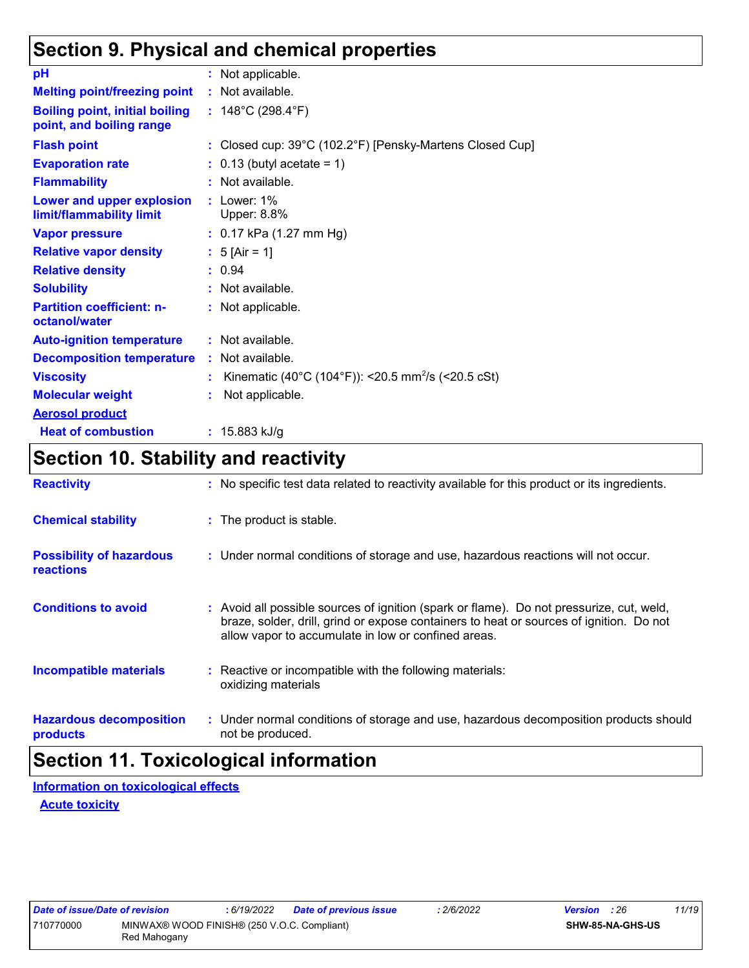## **Section 9. Physical and chemical properties**

| pH                                                                | : Not applicable.                                              |
|-------------------------------------------------------------------|----------------------------------------------------------------|
| <b>Melting point/freezing point</b>                               | : Not available.                                               |
| <b>Boiling point, initial boiling</b><br>point, and boiling range | : $148^{\circ}$ C (298.4 $^{\circ}$ F)                         |
| <b>Flash point</b>                                                | : Closed cup: 39°C (102.2°F) [Pensky-Martens Closed Cup]       |
| <b>Evaporation rate</b>                                           | $: 0.13$ (butyl acetate = 1)                                   |
| <b>Flammability</b>                                               | $:$ Not available.                                             |
| Lower and upper explosion<br>limit/flammability limit             | $:$ Lower: 1%<br>Upper: 8.8%                                   |
| <b>Vapor pressure</b>                                             | $: 0.17$ kPa (1.27 mm Hg)                                      |
| <b>Relative vapor density</b>                                     | : $5$ [Air = 1]                                                |
| <b>Relative density</b>                                           | : 0.94                                                         |
| <b>Solubility</b>                                                 | Not available.                                                 |
| <b>Partition coefficient: n-</b><br>octanol/water                 | : Not applicable.                                              |
| <b>Auto-ignition temperature</b>                                  | : Not available.                                               |
| <b>Decomposition temperature</b>                                  | : Not available.                                               |
| <b>Viscosity</b>                                                  | Kinematic (40°C (104°F)): <20.5 mm <sup>2</sup> /s (<20.5 cSt) |
| <b>Molecular weight</b>                                           | Not applicable.                                                |
| <b>Aerosol product</b>                                            |                                                                |
| <b>Heat of combustion</b>                                         | : $15.883$ kJ/g                                                |

## **Section 10. Stability and reactivity**

| <b>Reactivity</b>                                   | : No specific test data related to reactivity available for this product or its ingredients.                                                                                                                                               |
|-----------------------------------------------------|--------------------------------------------------------------------------------------------------------------------------------------------------------------------------------------------------------------------------------------------|
| <b>Chemical stability</b>                           | : The product is stable.                                                                                                                                                                                                                   |
| <b>Possibility of hazardous</b><br><b>reactions</b> | : Under normal conditions of storage and use, hazardous reactions will not occur.                                                                                                                                                          |
| <b>Conditions to avoid</b>                          | : Avoid all possible sources of ignition (spark or flame). Do not pressurize, cut, weld,<br>braze, solder, drill, grind or expose containers to heat or sources of ignition. Do not<br>allow vapor to accumulate in low or confined areas. |
| <b>Incompatible materials</b>                       | : Reactive or incompatible with the following materials:<br>oxidizing materials                                                                                                                                                            |
| <b>Hazardous decomposition</b><br>products          | : Under normal conditions of storage and use, hazardous decomposition products should<br>not be produced.                                                                                                                                  |

## **Section 11. Toxicological information**

**Acute toxicity Information on toxicological effects**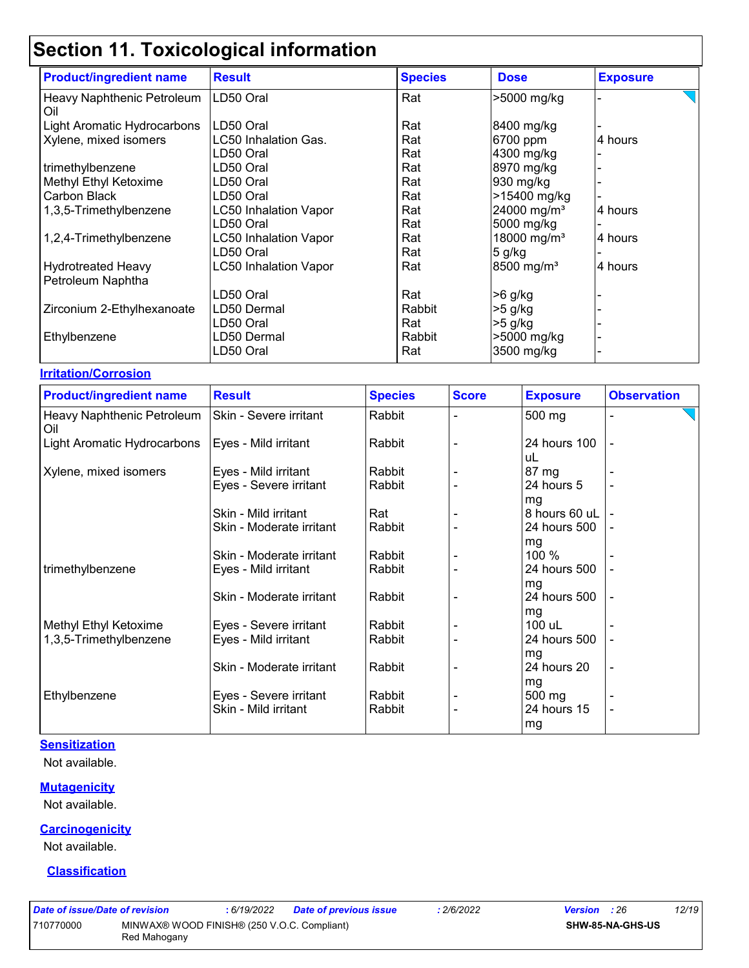| <b>Product/ingredient name</b>    | <b>Result</b>                | <b>Species</b> | <b>Dose</b>             | <b>Exposure</b> |
|-----------------------------------|------------------------------|----------------|-------------------------|-----------------|
| Heavy Naphthenic Petroleum<br>Oil | LD50 Oral                    | Rat            | >5000 mg/kg             |                 |
| Light Aromatic Hydrocarbons       | LD50 Oral                    | Rat            | 8400 mg/kg              |                 |
| Xylene, mixed isomers             | LC50 Inhalation Gas.         | Rat            | 6700 ppm                | 4 hours         |
|                                   | LD50 Oral                    | Rat            | 4300 mg/kg              |                 |
| trimethylbenzene                  | LD50 Oral                    | Rat            | 8970 mg/kg              |                 |
| Methyl Ethyl Ketoxime             | LD50 Oral                    | Rat            | 930 mg/kg               |                 |
| Carbon Black                      | LD50 Oral                    | Rat            | >15400 mg/kg            |                 |
| 1,3,5-Trimethylbenzene            | <b>LC50 Inhalation Vapor</b> | Rat            | 24000 mg/m <sup>3</sup> | 4 hours         |
|                                   | LD50 Oral                    | Rat            | 5000 mg/kg              |                 |
| 1,2,4-Trimethylbenzene            | <b>LC50 Inhalation Vapor</b> | Rat            | 18000 mg/m <sup>3</sup> | 4 hours         |
|                                   | LD50 Oral                    | Rat            | $5$ g/kg                |                 |
| <b>Hydrotreated Heavy</b>         | <b>LC50 Inhalation Vapor</b> | Rat            | 8500 mg/m <sup>3</sup>  | 4 hours         |
| Petroleum Naphtha                 |                              |                |                         |                 |
|                                   | LD50 Oral                    | Rat            | $>6$ g/kg               |                 |
| Zirconium 2-Ethylhexanoate        | LD50 Dermal                  | Rabbit         | $>5$ g/kg               |                 |
|                                   | LD50 Oral                    | Rat            | $>5$ g/kg               |                 |
| Ethylbenzene                      | LD50 Dermal                  | Rabbit         | >5000 mg/kg             |                 |
|                                   | LD50 Oral                    | Rat            | 3500 mg/kg              |                 |

#### **Irritation/Corrosion**

| <b>Product/ingredient name</b>    | <b>Result</b>            | <b>Species</b> | <b>Score</b> | <b>Exposure</b>     | <b>Observation</b>       |
|-----------------------------------|--------------------------|----------------|--------------|---------------------|--------------------------|
| Heavy Naphthenic Petroleum<br>Oil | Skin - Severe irritant   | Rabbit         |              | 500 mg              |                          |
| Light Aromatic Hydrocarbons       | Eyes - Mild irritant     | Rabbit         |              | 24 hours 100<br>uL  |                          |
| Xylene, mixed isomers             | Eyes - Mild irritant     | Rabbit         |              | 87 mg               |                          |
|                                   | Eyes - Severe irritant   | Rabbit         |              | 24 hours 5          |                          |
|                                   | Skin - Mild irritant     | Rat            |              | mg<br>8 hours 60 uL |                          |
|                                   | Skin - Moderate irritant | Rabbit         |              | 24 hours 500        |                          |
|                                   | Skin - Moderate irritant | Rabbit         |              | mg<br>100 %         |                          |
| trimethylbenzene                  | Eyes - Mild irritant     | Rabbit         |              | 24 hours 500        |                          |
|                                   | Skin - Moderate irritant | Rabbit         |              | mg<br>24 hours 500  |                          |
|                                   |                          |                |              | mg                  |                          |
| Methyl Ethyl Ketoxime             | Eyes - Severe irritant   | Rabbit         |              | 100 uL              |                          |
| 1,3,5-Trimethylbenzene            | Eyes - Mild irritant     | Rabbit         |              | 24 hours 500        |                          |
|                                   | Skin - Moderate irritant | Rabbit         |              | mg<br>24 hours 20   | $\overline{\phantom{0}}$ |
|                                   |                          |                |              | mg                  |                          |
| Ethylbenzene                      | Eyes - Severe irritant   | Rabbit         |              | 500 mg              |                          |
|                                   | Skin - Mild irritant     | Rabbit         |              | 24 hours 15         | $\overline{\phantom{a}}$ |
|                                   |                          |                |              | mg                  |                          |

#### **Sensitization**

Not available.

#### **Mutagenicity**

Not available.

#### **Carcinogenicity**

Not available.

#### **Classification**

*Date of issue/Date of revision* **:** *6/19/2022 Date of previous issue : 2/6/2022 Version : 26 12/19* 710770000 MINWAX® WOOD FINISH® (250 V.O.C. Compliant) Red Mahogany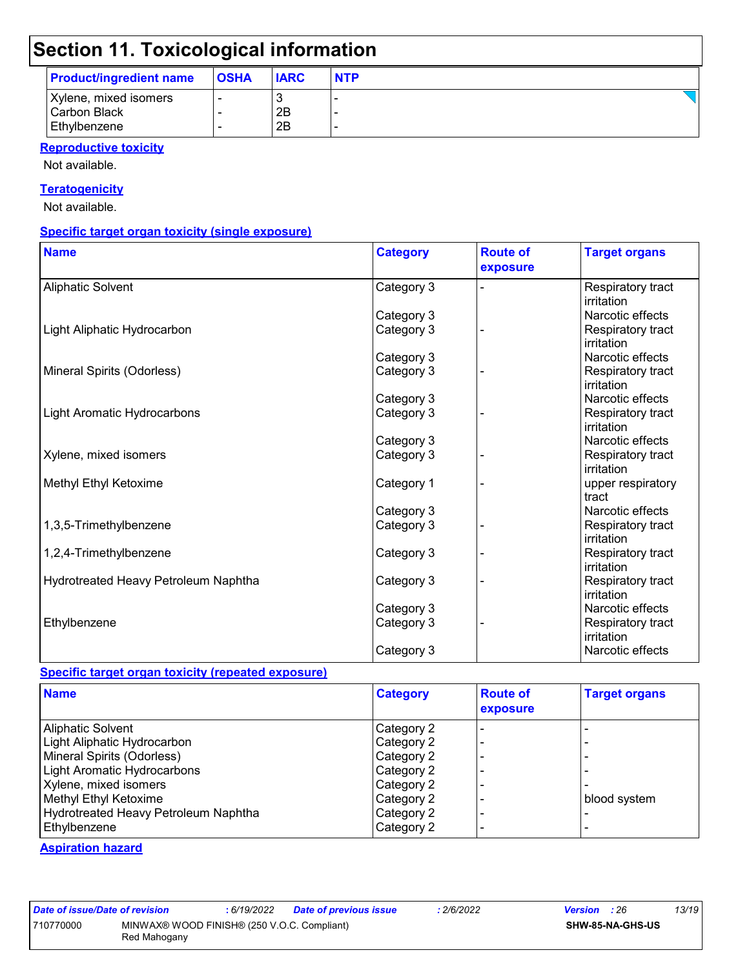| <b>Product/ingredient name</b> | <b>OSHA</b> | <b>IARC</b> | <b>NTP</b> |
|--------------------------------|-------------|-------------|------------|
| Xylene, mixed isomers          |             |             |            |
| <b>Carbon Black</b>            |             | 2B          |            |
| Ethylbenzene                   |             | 2B          |            |

#### **Reproductive toxicity**

Not available.

#### **Teratogenicity**

Not available.

#### **Specific target organ toxicity (single exposure)**

| <b>Name</b>                          | <b>Category</b> | <b>Route of</b><br>exposure | <b>Target organs</b>            |
|--------------------------------------|-----------------|-----------------------------|---------------------------------|
| <b>Aliphatic Solvent</b>             | Category 3      |                             | Respiratory tract<br>irritation |
|                                      | Category 3      |                             | Narcotic effects                |
| Light Aliphatic Hydrocarbon          | Category 3      |                             | Respiratory tract<br>irritation |
|                                      | Category 3      |                             | Narcotic effects                |
| Mineral Spirits (Odorless)           | Category 3      |                             | Respiratory tract<br>irritation |
|                                      | Category 3      |                             | Narcotic effects                |
| <b>Light Aromatic Hydrocarbons</b>   | Category 3      |                             | Respiratory tract<br>irritation |
|                                      | Category 3      |                             | Narcotic effects                |
| Xylene, mixed isomers                | Category 3      |                             | Respiratory tract<br>irritation |
| Methyl Ethyl Ketoxime                | Category 1      |                             | upper respiratory<br>tract      |
|                                      | Category 3      |                             | Narcotic effects                |
| 1,3,5-Trimethylbenzene               | Category 3      |                             | Respiratory tract<br>irritation |
| 1,2,4-Trimethylbenzene               | Category 3      |                             | Respiratory tract<br>irritation |
| Hydrotreated Heavy Petroleum Naphtha | Category 3      |                             | Respiratory tract<br>irritation |
|                                      | Category 3      |                             | Narcotic effects                |
| Ethylbenzene                         | Category 3      |                             | Respiratory tract<br>irritation |
|                                      | Category 3      |                             | Narcotic effects                |

#### **Specific target organ toxicity (repeated exposure)**

| <b>Name</b>                          | <b>Category</b> | <b>Route of</b><br>exposure | <b>Target organs</b> |
|--------------------------------------|-----------------|-----------------------------|----------------------|
| <b>Aliphatic Solvent</b>             | Category 2      |                             |                      |
| Light Aliphatic Hydrocarbon          | Category 2      |                             |                      |
| Mineral Spirits (Odorless)           | Category 2      |                             |                      |
| Light Aromatic Hydrocarbons          | Category 2      |                             |                      |
| Xylene, mixed isomers                | Category 2      |                             |                      |
| Methyl Ethyl Ketoxime                | Category 2      |                             | blood system         |
| Hydrotreated Heavy Petroleum Naphtha | Category 2      |                             |                      |
| Ethylbenzene                         | Category 2      |                             |                      |

#### **Aspiration hazard**

| ate of issue/Date of rev |             |
|--------------------------|-------------|
| 10770000                 | <b>MINV</b> |
|                          | n - - 1     |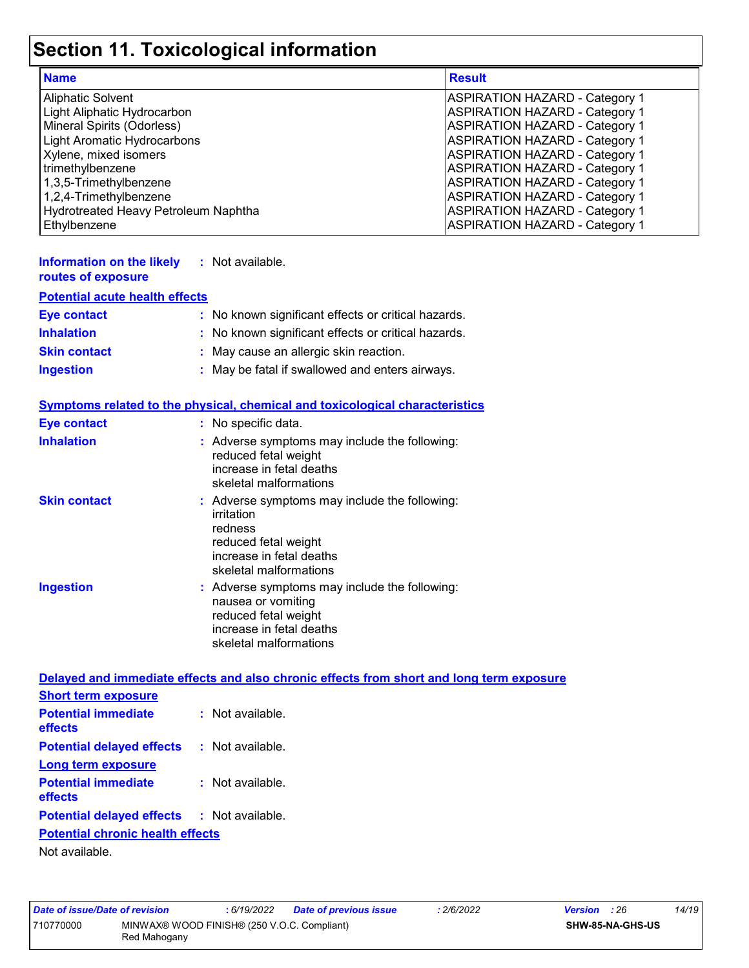| <b>Name</b>                          | <b>Result</b>                         |
|--------------------------------------|---------------------------------------|
| <b>Aliphatic Solvent</b>             | <b>ASPIRATION HAZARD - Category 1</b> |
| Light Aliphatic Hydrocarbon          | <b>ASPIRATION HAZARD - Category 1</b> |
| Mineral Spirits (Odorless)           | <b>ASPIRATION HAZARD - Category 1</b> |
| Light Aromatic Hydrocarbons          | <b>ASPIRATION HAZARD - Category 1</b> |
| Xylene, mixed isomers                | <b>ASPIRATION HAZARD - Category 1</b> |
| trimethylbenzene                     | <b>ASPIRATION HAZARD - Category 1</b> |
| 1,3,5-Trimethylbenzene               | ASPIRATION HAZARD - Category 1        |
| 1,2,4-Trimethylbenzene               | <b>ASPIRATION HAZARD - Category 1</b> |
| Hydrotreated Heavy Petroleum Naphtha | <b>ASPIRATION HAZARD - Category 1</b> |
| Ethylbenzene                         | <b>ASPIRATION HAZARD - Category 1</b> |

| Information on the likely<br>routes of exposure | : Not available.                                    |
|-------------------------------------------------|-----------------------------------------------------|
| <b>Potential acute health effects</b>           |                                                     |
| <b>Eye contact</b>                              | : No known significant effects or critical hazards. |
| <b>Inhalation</b>                               | : No known significant effects or critical hazards. |
| <b>Skin contact</b>                             | : May cause an allergic skin reaction.              |
| <b>Ingestion</b>                                | : May be fatal if swallowed and enters airways.     |

|                                                   | <b>Symptoms related to the physical, chemical and toxicological characteristics</b>                                                                  |
|---------------------------------------------------|------------------------------------------------------------------------------------------------------------------------------------------------------|
| <b>Eye contact</b>                                | : No specific data.                                                                                                                                  |
| <b>Inhalation</b>                                 | : Adverse symptoms may include the following:<br>reduced fetal weight<br>increase in fetal deaths<br>skeletal malformations                          |
| <b>Skin contact</b>                               | : Adverse symptoms may include the following:<br>irritation<br>redness<br>reduced fetal weight<br>increase in fetal deaths<br>skeletal malformations |
| <b>Ingestion</b>                                  | : Adverse symptoms may include the following:<br>nausea or vomiting<br>reduced fetal weight<br>increase in fetal deaths<br>skeletal malformations    |
|                                                   | Delayed and immediate effects and also chronic effects from short and long term exposure                                                             |
| <b>Short term exposure</b>                        |                                                                                                                                                      |
| <b>Potential immediate</b><br>effects             | : Not available.                                                                                                                                     |
| <b>Potential delayed effects : Not available.</b> |                                                                                                                                                      |
| <b>Long term exposure</b>                         |                                                                                                                                                      |
| <b>Potential immediate</b><br>effects             | : Not available.                                                                                                                                     |
| <b>Potential delayed effects : Not available.</b> |                                                                                                                                                      |

#### **Potential chronic health effects**

Not available.

| Date of issue/Date of revision                                           |  | : 6/19/2022 | Date of previous issue | .2/6/2022               | <b>Version</b> : 26 |  | 14/19 |
|--------------------------------------------------------------------------|--|-------------|------------------------|-------------------------|---------------------|--|-------|
| MINWAX® WOOD FINISH® (250 V.O.C. Compliant)<br>710770000<br>Red Mahogany |  |             |                        | <b>SHW-85-NA-GHS-US</b> |                     |  |       |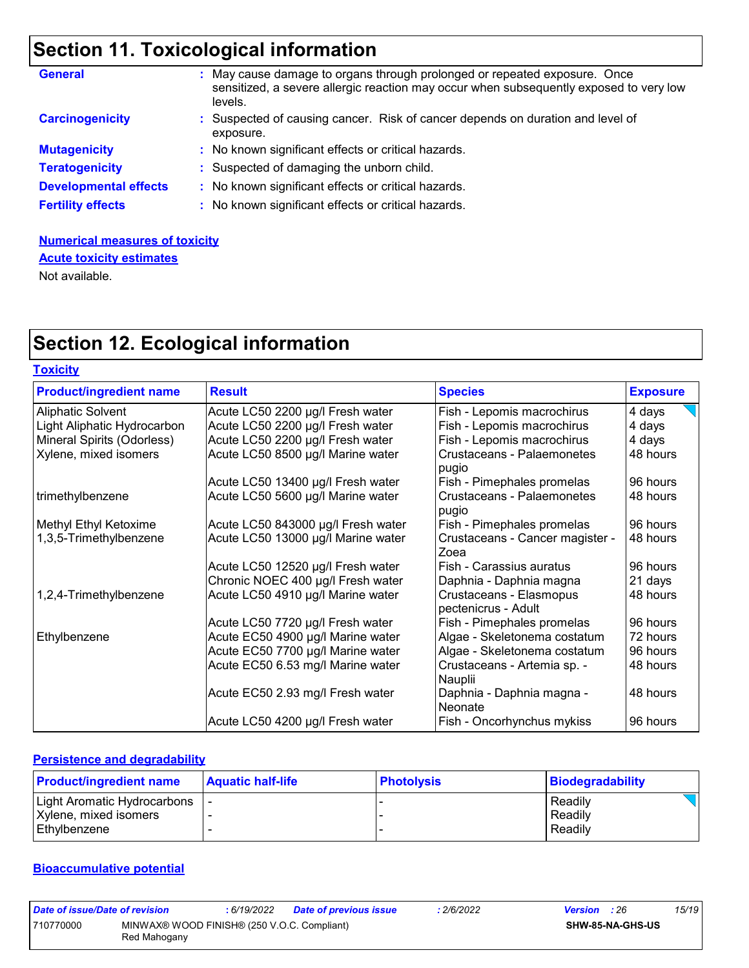| <b>General</b>               | May cause damage to organs through prolonged or repeated exposure. Once<br>sensitized, a severe allergic reaction may occur when subsequently exposed to very low<br>levels. |
|------------------------------|------------------------------------------------------------------------------------------------------------------------------------------------------------------------------|
| <b>Carcinogenicity</b>       | : Suspected of causing cancer. Risk of cancer depends on duration and level of<br>exposure.                                                                                  |
| <b>Mutagenicity</b>          | : No known significant effects or critical hazards.                                                                                                                          |
| <b>Teratogenicity</b>        | : Suspected of damaging the unborn child.                                                                                                                                    |
| <b>Developmental effects</b> | : No known significant effects or critical hazards.                                                                                                                          |
| <b>Fertility effects</b>     | : No known significant effects or critical hazards.                                                                                                                          |

#### **Numerical measures of toxicity**

**Acute toxicity estimates**

Not available.

## **Section 12. Ecological information**

| <b>Toxicity</b>                |                                    |                                                |                 |
|--------------------------------|------------------------------------|------------------------------------------------|-----------------|
| <b>Product/ingredient name</b> | <b>Result</b>                      | <b>Species</b>                                 | <b>Exposure</b> |
| Aliphatic Solvent              | Acute LC50 2200 µg/l Fresh water   | Fish - Lepomis macrochirus                     | 4 days          |
| Light Aliphatic Hydrocarbon    | Acute LC50 2200 µg/l Fresh water   | Fish - Lepomis macrochirus                     | 4 days          |
| Mineral Spirits (Odorless)     | Acute LC50 2200 µg/l Fresh water   | Fish - Lepomis macrochirus                     | 4 days          |
| Xylene, mixed isomers          | Acute LC50 8500 µg/l Marine water  | <b>Crustaceans - Palaemonetes</b><br>pugio     | 48 hours        |
|                                | Acute LC50 13400 µg/l Fresh water  | Fish - Pimephales promelas                     | 96 hours        |
| trimethylbenzene               | Acute LC50 5600 µg/l Marine water  | <b>Crustaceans - Palaemonetes</b><br>pugio     | 48 hours        |
| Methyl Ethyl Ketoxime          | Acute LC50 843000 µg/l Fresh water | Fish - Pimephales promelas                     | 96 hours        |
| 1,3,5-Trimethylbenzene         | Acute LC50 13000 µg/l Marine water | Crustaceans - Cancer magister -<br>Zoea        | 48 hours        |
|                                | Acute LC50 12520 µg/l Fresh water  | Fish - Carassius auratus                       | 96 hours        |
|                                | Chronic NOEC 400 µg/l Fresh water  | Daphnia - Daphnia magna                        | 21 days         |
| 1,2,4-Trimethylbenzene         | Acute LC50 4910 µg/l Marine water  | Crustaceans - Elasmopus<br>pectenicrus - Adult | 48 hours        |
|                                | Acute LC50 7720 µg/l Fresh water   | Fish - Pimephales promelas                     | 96 hours        |
| Ethylbenzene                   | Acute EC50 4900 µg/l Marine water  | Algae - Skeletonema costatum                   | 72 hours        |
|                                | Acute EC50 7700 µg/l Marine water  | Algae - Skeletonema costatum                   | 96 hours        |
|                                | Acute EC50 6.53 mg/l Marine water  | Crustaceans - Artemia sp. -<br>Nauplii         | 48 hours        |
|                                | Acute EC50 2.93 mg/l Fresh water   | Daphnia - Daphnia magna -<br>Neonate           | 48 hours        |
|                                | Acute LC50 4200 µg/l Fresh water   | Fish - Oncorhynchus mykiss                     | 96 hours        |

#### **Persistence and degradability**

| <b>Product/ingredient name</b> | <b>Aquatic half-life</b> | <b>Photolysis</b> | Biodegradability |
|--------------------------------|--------------------------|-------------------|------------------|
| Light Aromatic Hydrocarbons    |                          |                   | Readily          |
| Xylene, mixed isomers          |                          |                   | Readily          |
| Ethvlbenzene                   |                          |                   | Readily          |

#### **Bioaccumulative potential**

| Date of issue/Date of revision |                                                             | : 6/19/2022 | <b>Date of previous issue</b> | .2/6/2022 | <b>Version</b> : 26 |                         | 15/19 |
|--------------------------------|-------------------------------------------------------------|-------------|-------------------------------|-----------|---------------------|-------------------------|-------|
| 710770000                      | MINWAX® WOOD FINISH® (250 V.O.C. Compliant)<br>Red Mahogany |             |                               |           |                     | <b>SHW-85-NA-GHS-US</b> |       |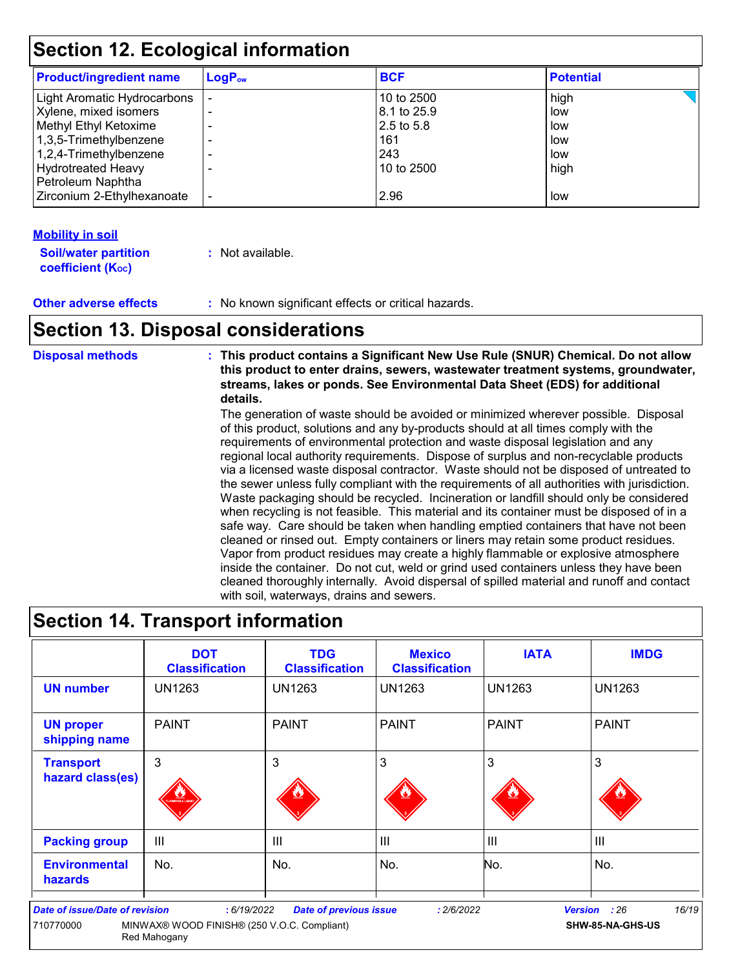| <b>Product/ingredient name</b> | $LogP_{ow}$ | <b>BCF</b>  | <b>Potential</b> |  |
|--------------------------------|-------------|-------------|------------------|--|
| Light Aromatic Hydrocarbons    |             | 10 to 2500  | high             |  |
| Xylene, mixed isomers          |             | 8.1 to 25.9 | low              |  |
| Methyl Ethyl Ketoxime          |             | 2.5 to 5.8  | low              |  |
| $1,3,5$ -Trimethylbenzene      |             | 161         | low              |  |
| $ 1,2,4$ -Trimethylbenzene     |             | 243         | low              |  |
| <b>Hydrotreated Heavy</b>      |             | 10 to 2500  | high             |  |
| Petroleum Naphtha              |             |             |                  |  |
| Zirconium 2-Ethylhexanoate     |             | 2.96        | low              |  |

#### **Mobility in soil**

| <b>Soil/water partition</b> | : Not available. |
|-----------------------------|------------------|
| <b>coefficient (Koc)</b>    |                  |

**Other adverse effects :** No known significant effects or critical hazards.

## **Section 13. Disposal considerations**

**Disposal methods : This product contains a Significant New Use Rule (SNUR) Chemical. Do not allow this product to enter drains, sewers, wastewater treatment systems, groundwater, streams, lakes or ponds. See Environmental Data Sheet (EDS) for additional details.**

> The generation of waste should be avoided or minimized wherever possible. Disposal of this product, solutions and any by-products should at all times comply with the requirements of environmental protection and waste disposal legislation and any regional local authority requirements. Dispose of surplus and non-recyclable products via a licensed waste disposal contractor. Waste should not be disposed of untreated to the sewer unless fully compliant with the requirements of all authorities with jurisdiction. Waste packaging should be recycled. Incineration or landfill should only be considered when recycling is not feasible. This material and its container must be disposed of in a safe way. Care should be taken when handling emptied containers that have not been cleaned or rinsed out. Empty containers or liners may retain some product residues. Vapor from product residues may create a highly flammable or explosive atmosphere inside the container. Do not cut, weld or grind used containers unless they have been cleaned thoroughly internally. Avoid dispersal of spilled material and runoff and contact with soil, waterways, drains and sewers.

### **Section 14. Transport information**

|                                                    | <b>DOT</b><br><b>Classification</b>                                        | <b>TDG</b><br><b>Classification</b> | <b>Mexico</b><br><b>Classification</b> | <b>IATA</b>    | <b>IMDG</b>                       |
|----------------------------------------------------|----------------------------------------------------------------------------|-------------------------------------|----------------------------------------|----------------|-----------------------------------|
| <b>UN number</b>                                   | <b>UN1263</b>                                                              | <b>UN1263</b>                       | <b>UN1263</b>                          | <b>UN1263</b>  | <b>UN1263</b>                     |
| <b>UN proper</b><br>shipping name                  | <b>PAINT</b>                                                               | <b>PAINT</b>                        | <b>PAINT</b>                           | <b>PAINT</b>   | <b>PAINT</b>                      |
| <b>Transport</b><br>hazard class(es)               | 3<br><b>MABLE LIQU</b>                                                     | 3                                   | 3                                      | 3              | 3                                 |
| <b>Packing group</b>                               | Ш                                                                          | Ш                                   | Ш                                      | $\mathbf{III}$ | $\mathbf{III}$                    |
| <b>Environmental</b><br><b>hazards</b>             | No.                                                                        | No.                                 | No.                                    | No.            | No.                               |
| <b>Date of issue/Date of revision</b><br>710770000 | : 6/19/2022<br>MINWAX® WOOD FINISH® (250 V.O.C. Compliant)<br>Red Mahogany | <b>Date of previous issue</b>       | : 2/6/2022                             | <b>Version</b> | 16/19<br>: 26<br>SHW-85-NA-GHS-US |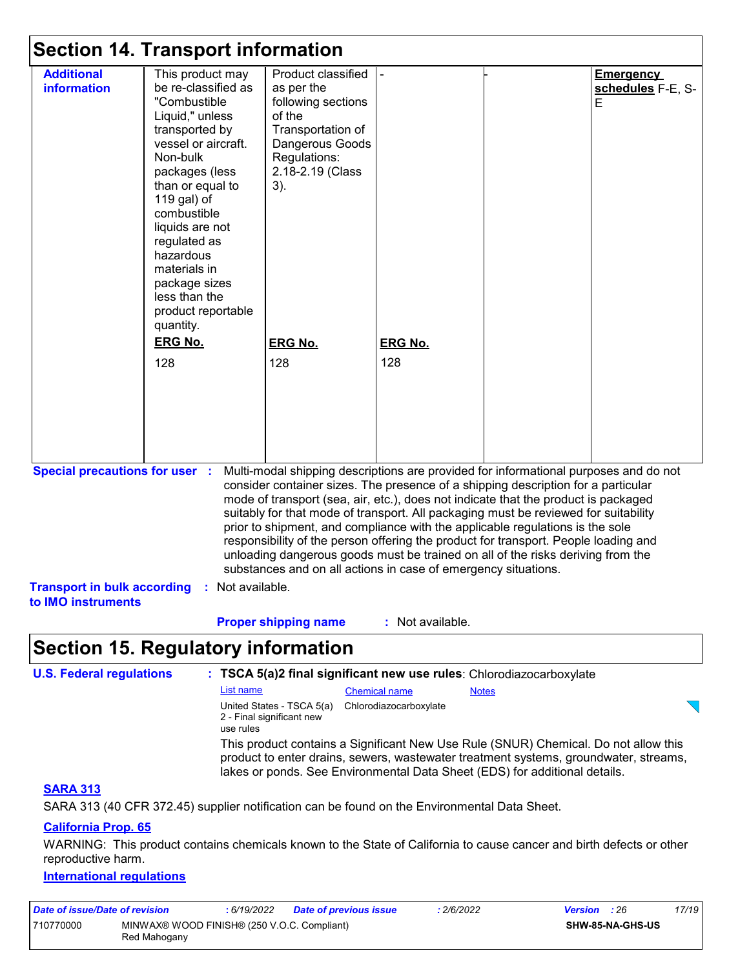|                                                                                                                                                                                                                                                                                                                                                                                                                                                                                                                                                                                                                                                                                                                              | <b>Section 14. Transport information</b>                                                                                                                                                                                                                                                                                                 |                                                                                                                                                     |                       |  |                                     |  |
|------------------------------------------------------------------------------------------------------------------------------------------------------------------------------------------------------------------------------------------------------------------------------------------------------------------------------------------------------------------------------------------------------------------------------------------------------------------------------------------------------------------------------------------------------------------------------------------------------------------------------------------------------------------------------------------------------------------------------|------------------------------------------------------------------------------------------------------------------------------------------------------------------------------------------------------------------------------------------------------------------------------------------------------------------------------------------|-----------------------------------------------------------------------------------------------------------------------------------------------------|-----------------------|--|-------------------------------------|--|
| <b>Additional</b><br><b>information</b>                                                                                                                                                                                                                                                                                                                                                                                                                                                                                                                                                                                                                                                                                      | This product may<br>be re-classified as<br>"Combustible<br>Liquid," unless<br>transported by<br>vessel or aircraft.<br>Non-bulk<br>packages (less<br>than or equal to<br>119 gal) of<br>combustible<br>liquids are not<br>regulated as<br>hazardous<br>materials in<br>package sizes<br>less than the<br>product reportable<br>quantity. | Product classified<br>as per the<br>following sections<br>of the<br>Transportation of<br>Dangerous Goods<br>Regulations:<br>2.18-2.19 (Class<br>3). |                       |  | Emergency<br>schedules F-E, S-<br>E |  |
|                                                                                                                                                                                                                                                                                                                                                                                                                                                                                                                                                                                                                                                                                                                              | <b>ERG No.</b><br>128                                                                                                                                                                                                                                                                                                                    | <b>ERG No.</b><br>128                                                                                                                               | <b>ERG No.</b><br>128 |  |                                     |  |
|                                                                                                                                                                                                                                                                                                                                                                                                                                                                                                                                                                                                                                                                                                                              |                                                                                                                                                                                                                                                                                                                                          |                                                                                                                                                     |                       |  |                                     |  |
| <b>Special precautions for user :</b><br>Multi-modal shipping descriptions are provided for informational purposes and do not<br>consider container sizes. The presence of a shipping description for a particular<br>mode of transport (sea, air, etc.), does not indicate that the product is packaged<br>suitably for that mode of transport. All packaging must be reviewed for suitability<br>prior to shipment, and compliance with the applicable regulations is the sole<br>responsibility of the person offering the product for transport. People loading and<br>unloading dangerous goods must be trained on all of the risks deriving from the<br>substances and on all actions in case of emergency situations. |                                                                                                                                                                                                                                                                                                                                          |                                                                                                                                                     |                       |  |                                     |  |
| to IMO instruments                                                                                                                                                                                                                                                                                                                                                                                                                                                                                                                                                                                                                                                                                                           | Transport in bulk according : Not available.                                                                                                                                                                                                                                                                                             |                                                                                                                                                     |                       |  |                                     |  |
| : Not available.<br><b>Proper shipping name</b><br><b>Section 15. Regulatory information</b>                                                                                                                                                                                                                                                                                                                                                                                                                                                                                                                                                                                                                                 |                                                                                                                                                                                                                                                                                                                                          |                                                                                                                                                     |                       |  |                                     |  |
| <b>U.S. Federal regulations</b>                                                                                                                                                                                                                                                                                                                                                                                                                                                                                                                                                                                                                                                                                              |                                                                                                                                                                                                                                                                                                                                          | : TSCA 5(a)2 final significant new use rules: Chlorodiazocarboxylate                                                                                |                       |  |                                     |  |

| List name                                                           | <b>Chemical name</b>   | <b>Notes</b>                                                                                                                                                                                                                                              |  |
|---------------------------------------------------------------------|------------------------|-----------------------------------------------------------------------------------------------------------------------------------------------------------------------------------------------------------------------------------------------------------|--|
| United States - TSCA 5(a)<br>2 - Final significant new<br>use rules | Chlorodiazocarboxylate |                                                                                                                                                                                                                                                           |  |
|                                                                     |                        | This product contains a Significant New Use Rule (SNUR) Chemical. Do not allow this<br>product to enter drains, sewers, wastewater treatment systems, groundwater, streams,<br>lakes or ponds. See Environmental Data Sheet (EDS) for additional details. |  |

#### **SARA 313**

SARA 313 (40 CFR 372.45) supplier notification can be found on the Environmental Data Sheet.

#### **California Prop. 65**

WARNING: This product contains chemicals known to the State of California to cause cancer and birth defects or other reproductive harm.

#### **International regulations**

| Date of issue/Date of revision |                                                             | : 6/19/2022 | <b>Date of previous issue</b> | 2/6/2022 | <b>Version</b> : 26 |                  | 17/19 |
|--------------------------------|-------------------------------------------------------------|-------------|-------------------------------|----------|---------------------|------------------|-------|
| 710770000                      | MINWAX® WOOD FINISH® (250 V.O.C. Compliant)<br>Red Mahogany |             |                               |          |                     | SHW-85-NA-GHS-US |       |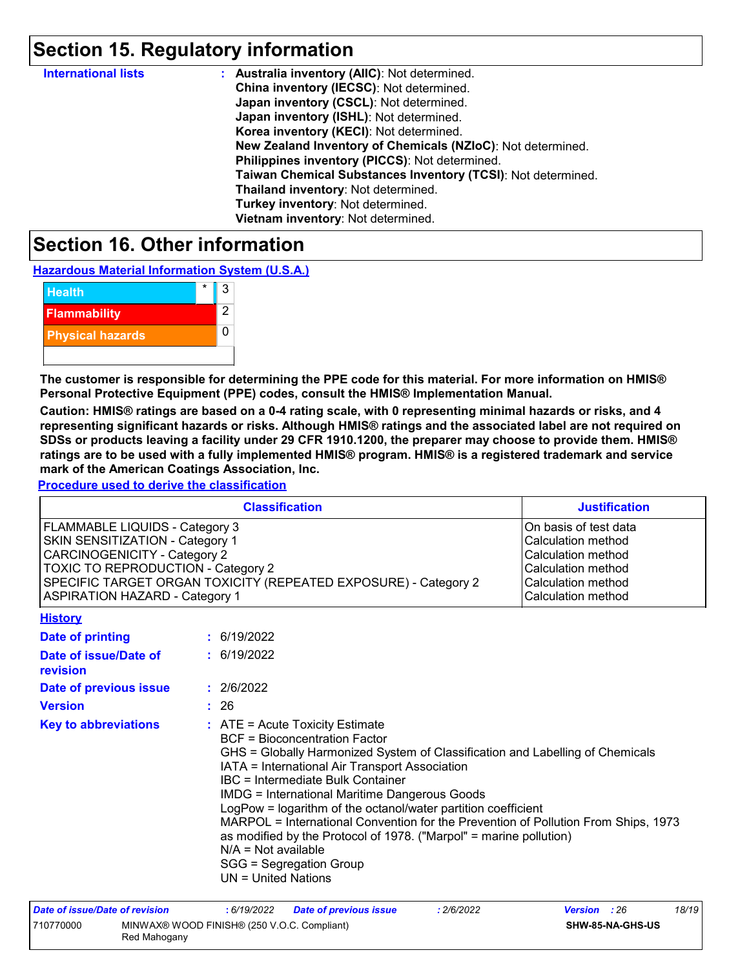### **Section 15. Regulatory information**

| <b>International lists</b> | : Australia inventory (AIIC): Not determined.                |
|----------------------------|--------------------------------------------------------------|
|                            | China inventory (IECSC): Not determined.                     |
|                            | Japan inventory (CSCL): Not determined.                      |
|                            | Japan inventory (ISHL): Not determined.                      |
|                            | Korea inventory (KECI): Not determined.                      |
|                            | New Zealand Inventory of Chemicals (NZIoC): Not determined.  |
|                            | Philippines inventory (PICCS): Not determined.               |
|                            | Taiwan Chemical Substances Inventory (TCSI): Not determined. |
|                            | Thailand inventory: Not determined.                          |
|                            | Turkey inventory: Not determined.                            |
|                            | Vietnam inventory: Not determined.                           |

### **Section 16. Other information**

**Hazardous Material Information System (U.S.A.)**



**The customer is responsible for determining the PPE code for this material. For more information on HMIS® Personal Protective Equipment (PPE) codes, consult the HMIS® Implementation Manual.**

**Caution: HMIS® ratings are based on a 0-4 rating scale, with 0 representing minimal hazards or risks, and 4 representing significant hazards or risks. Although HMIS® ratings and the associated label are not required on SDSs or products leaving a facility under 29 CFR 1910.1200, the preparer may choose to provide them. HMIS® ratings are to be used with a fully implemented HMIS® program. HMIS® is a registered trademark and service mark of the American Coatings Association, Inc.**

**Procedure used to derive the classification**

|                                                                                                                                                                                                                                                            |  | <b>Classification</b>                                                                                                                                                                                                                                                                                                                                                                                                                                                                                                                                                                                             | <b>Justification</b>                                                                                                                |  |  |
|------------------------------------------------------------------------------------------------------------------------------------------------------------------------------------------------------------------------------------------------------------|--|-------------------------------------------------------------------------------------------------------------------------------------------------------------------------------------------------------------------------------------------------------------------------------------------------------------------------------------------------------------------------------------------------------------------------------------------------------------------------------------------------------------------------------------------------------------------------------------------------------------------|-------------------------------------------------------------------------------------------------------------------------------------|--|--|
| FLAMMABLE LIQUIDS - Category 3<br>SKIN SENSITIZATION - Category 1<br><b>CARCINOGENICITY - Category 2</b><br>TOXIC TO REPRODUCTION - Category 2<br>SPECIFIC TARGET ORGAN TOXICITY (REPEATED EXPOSURE) - Category 2<br><b>ASPIRATION HAZARD - Category 1</b> |  |                                                                                                                                                                                                                                                                                                                                                                                                                                                                                                                                                                                                                   | On basis of test data<br>Calculation method<br>Calculation method<br>Calculation method<br>Calculation method<br>Calculation method |  |  |
| <b>History</b>                                                                                                                                                                                                                                             |  |                                                                                                                                                                                                                                                                                                                                                                                                                                                                                                                                                                                                                   |                                                                                                                                     |  |  |
| <b>Date of printing</b>                                                                                                                                                                                                                                    |  | : 6/19/2022                                                                                                                                                                                                                                                                                                                                                                                                                                                                                                                                                                                                       |                                                                                                                                     |  |  |
| Date of issue/Date of<br>revision                                                                                                                                                                                                                          |  | : 6/19/2022                                                                                                                                                                                                                                                                                                                                                                                                                                                                                                                                                                                                       |                                                                                                                                     |  |  |
| Date of previous issue                                                                                                                                                                                                                                     |  | : 2/6/2022                                                                                                                                                                                                                                                                                                                                                                                                                                                                                                                                                                                                        |                                                                                                                                     |  |  |
| <b>Version</b>                                                                                                                                                                                                                                             |  | : 26                                                                                                                                                                                                                                                                                                                                                                                                                                                                                                                                                                                                              |                                                                                                                                     |  |  |
| <b>Key to abbreviations</b>                                                                                                                                                                                                                                |  | $:$ ATE = Acute Toxicity Estimate<br><b>BCF</b> = Bioconcentration Factor<br>GHS = Globally Harmonized System of Classification and Labelling of Chemicals<br>IATA = International Air Transport Association<br>IBC = Intermediate Bulk Container<br><b>IMDG = International Maritime Dangerous Goods</b><br>LogPow = logarithm of the octanol/water partition coefficient<br>MARPOL = International Convention for the Prevention of Pollution From Ships, 1973<br>as modified by the Protocol of 1978. ("Marpol" = marine pollution)<br>$N/A = Not available$<br>SGG = Segregation Group<br>UN = United Nations |                                                                                                                                     |  |  |
| Dato of issue/Dato of revision                                                                                                                                                                                                                             |  | .2/6/2022<br>• 6/10/2022<br>Dato of provinus issuo                                                                                                                                                                                                                                                                                                                                                                                                                                                                                                                                                                | 18/10<br>Vareion<br>.26                                                                                                             |  |  |

| Date of issue/Date of revision |                                                             | : 6/19/2022 | <b>Date of previous issue</b> | : 2/6/2022 | <b>Version</b> : 26 |                  | 18/19 |
|--------------------------------|-------------------------------------------------------------|-------------|-------------------------------|------------|---------------------|------------------|-------|
| 710770000                      | MINWAX® WOOD FINISH® (250 V.O.C. Compliant)<br>Red Mahogany |             |                               |            |                     | SHW-85-NA-GHS-US |       |